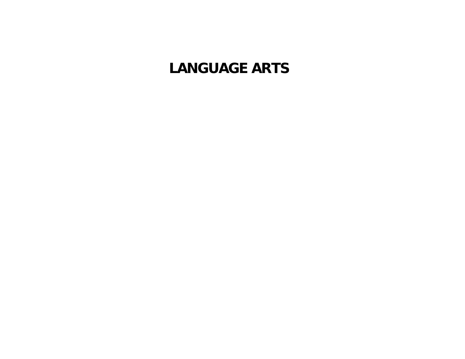# **LANGUAGE ARTS**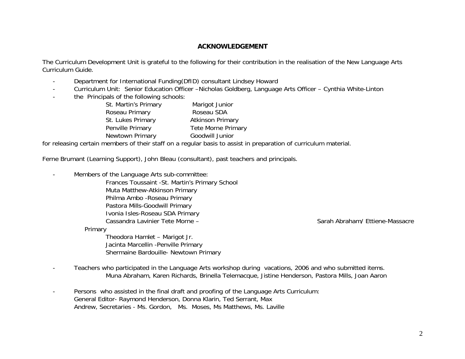## **ACKNOWLEDGEMENT**

The Curriculum Development Unit is grateful to the following for their contribution in the realisation of the New Language Arts Curriculum Guide.

- -Department for International Funding(DfID) consultant Lindsey Howard
- -Curriculum Unit: Senior Education Officer –Nicholas Goldberg, Language Arts Officer – Cynthia White-Linton
- the Principals of the following schools:

| St. Martin's Primary | Marigot Junior            |
|----------------------|---------------------------|
| Roseau Primary       | Roseau SDA                |
| St. Lukes Primary    | <b>Atkinson Primary</b>   |
| Penville Primary     | <b>Tete Morne Primary</b> |
| Newtown Primary      | Goodwill Junior           |
|                      |                           |

for releasing certain members of their staff on a regular basis to assist in preparation of curriculum material.

Ferne Brumant (Learning Support), John Bleau (consultant), past teachers and principals.

-Members of the Language Arts sub-committee:

> Frances Toussaint -St. Martin's Primary School Muta Matthew-Atkinson Primary Philma Ambo -Roseau Primary Pastora Mills-Goodwill Primary Ivonia Isles-Roseau SDA Primary Cassandra Lavinier Tete Morne – Sarah Abraham/ Ettiene-Massacre

Primary

Theodora Hamlet – Marigot Jr. Jacinta Marcellin -Penville Primary Shermaine Bardouille- Newtown Primary

- Teachers who participated in the Language Arts workshop during vacations, 2006 and who submitted items. Muna Abraham, Karen Richards, Brinella Telemacque, Jistine Henderson, Pastora Mills, Joan Aaron
- Persons who assisted in the final draft and proofing of the Language Arts Curriculum: General Editor- Raymond Henderson, Donna Klarin, Ted Serrant, Max Andrew, Secretaries - Ms. Gordon, Ms. Moses, Ms Matthews, Ms. Laville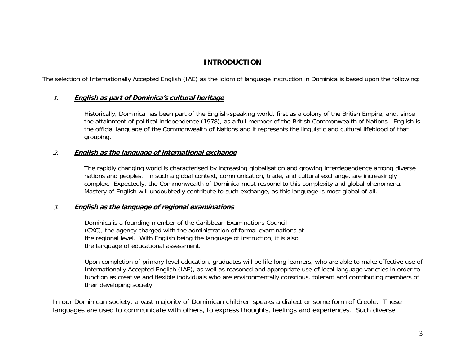## **INTRODUCTION**

The selection of Internationally Accepted English (IAE) as the idiom of language instruction in Dominica is based upon the following:

## 1.**English as part of Dominica's cultural heritage**

 Historically, Dominica has been part of the English-speaking world, first as a colony of the British Empire, and, since the attainment of political independence (1978), as a full member of the British Commonwealth of Nations. English is the official language of the Commonwealth of Nations and it represents the linguistic and cultural lifeblood of that grouping.

## 2.**English as the language of international exchange**

The rapidly changing world is characterised by increasing globalisation and growing interdependence among diverse nations and peoples. In such a global context, communication, trade, and cultural exchange, are increasingly complex. Expectedly, the Commonwealth of Dominica must respond to this complexity and global phenomena. Mastery of English will undoubtedly contribute to such exchange, as this language is most global of all.

## 3.**English as the language of regional examinations**

Dominica is a founding member of the Caribbean Examinations Council (CXC), the agency charged with the administration of formal examinations at the regional level. With English being the language of instruction, it is also the language of educational assessment.

Upon completion of primary level education, graduates will be life-long learners, who are able to make effective use of Internationally Accepted English (IAE), as well as reasoned and appropriate use of local language varieties in order to function as creative and flexible individuals who are environmentally conscious, tolerant and contributing members of their developing society.

In our Dominican society, a vast majority of Dominican children speaks a dialect or some form of Creole. These languages are used to communicate with others, to express thoughts, feelings and experiences. Such diverse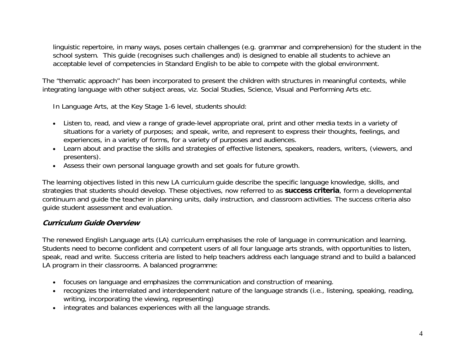linguistic repertoire, in many ways, poses certain challenges (e.g. grammar and comprehension) for the student in the school system. This guide (recognises such challenges and) is designed to enable all students to achieve an acceptable level of competencies in Standard English to be able to compete with the global environment.

The "thematic approach" has been incorporated to present the children with structures in meaningful contexts, while integrating language with other subject areas, viz. Social Studies, Science, Visual and Performing Arts etc.

In Language Arts, at the Key Stage 1-6 level, students should:

- Listen to, read, and view a range of grade-level appropriate oral, print and other media texts in a variety of situations for a variety of purposes; and speak, write, and represent to express their thoughts, feelings, and experiences, in a variety of forms, for a variety of purposes and audiences.
- Learn about and practise the skills and strategies of effective listeners, speakers, readers, writers, (viewers, and presenters).
- Assess their own personal language growth and set goals for future growth.

The learning objectives listed in this new LA curriculum guide describe the specific language knowledge, skills, and strategies that students should develop. These objectives, now referred to as **success criteria**, form a developmental continuum and guide the teacher in planning units, daily instruction, and classroom activities. The success criteria also guide student assessment and evaluation.

## **Curriculum Guide Overview**

The renewed English Language arts (LA) curriculum emphasises the role of language in communication and learning. Students need to become confident and competent users of all four language arts strands, with opportunities to listen, speak, read and write. Success criteria are listed to help teachers address each language strand and to build a balanced LA program in their classrooms. A balanced programme:

- focuses on language and emphasizes the communication and construction of meaning.
- recognizes the interrelated and interdependent nature of the language strands (i.e., listening, speaking, reading, writing, incorporating the viewing, representing)
- integrates and balances experiences with all the language strands.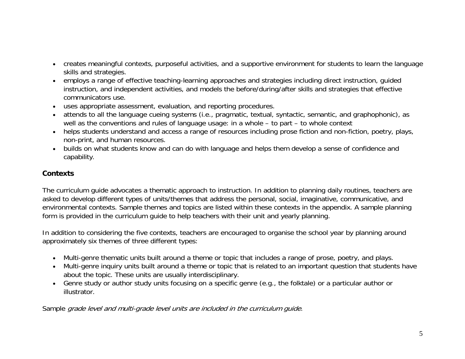- creates meaningful contexts, purposeful activities, and a supportive environment for students to learn the language skills and strategies.
- employs a range of effective teaching-learning approaches and strategies including direct instruction, guided instruction, and independent activities, and models the before/during/after skills and strategies that effective communicators use.
- uses appropriate assessment, evaluation, and reporting procedures.
- attends to all the language cueing systems (i.e., pragmatic, textual, syntactic, semantic, and graphophonic), as well as the conventions and rules of language usage: in a whole – to part – to whole context
- helps students understand and access a range of resources including prose fiction and non-fiction, poetry, plays, non-print, and human resources.
- builds on what students know and can do with language and helps them develop a sense of confidence and capability.

## **Contexts**

The curriculum guide advocates a thematic approach to instruction. In addition to planning daily routines, teachers are asked to develop different types of units/themes that address the personal, social, imaginative, communicative, and environmental contexts. Sample themes and topics are listed within these contexts in the appendix. A sample planning form is provided in the curriculum guide to help teachers with their unit and yearly planning.

In addition to considering the five contexts, teachers are encouraged to organise the school year by planning around approximately six themes of three different types:

- Multi-genre thematic units built around a theme or topic that includes a range of prose, poetry, and plays.
- Multi-genre inquiry units built around a theme or topic that is related to an important question that students have about the topic. These units are usually interdisciplinary.
- Genre study or author study units focusing on a specific genre (e.g., the folktale) or a particular author or illustrator.

Sample grade level and multi-grade level units are included in the curriculum guide.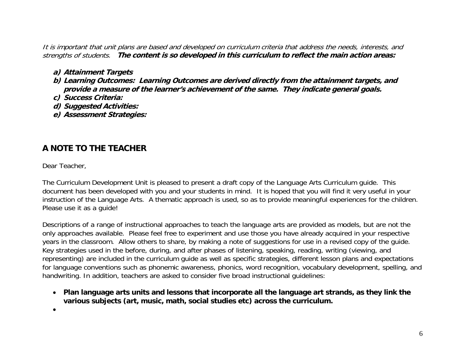It is important that unit plans are based and developed on curriculum criteria that address the needs, interests, and strengths of students. **The content is so developed in this curriculum to reflect the main action areas:** 

## **a) Attainment Targets**

- **b) Learning Outcomes: Learning Outcomes are derived directly from the attainment targets, and provide a measure of the learner's achievement of the same. They indicate general goals.**
- **c) Success Criteria:**
- **d) Suggested Activities:**
- **e) Assessment Strategies:**

## **A NOTE TO THE TEACHER**

Dear Teacher,

The Curriculum Development Unit is pleased to present a draft copy of the Language Arts Curriculum guide. This document has been developed with you and your students in mind. It is hoped that you will find it very useful in your instruction of the Language Arts. A thematic approach is used, so as to provide meaningful experiences for the children. Please use it as a guide!

Descriptions of a range of instructional approaches to teach the language arts are provided as models, but are not the only approaches available. Please feel free to experiment and use those you have already acquired in your respective years in the classroom. Allow others to share, by making a note of suggestions for use in a revised copy of the guide. Key strategies used in the before, during, and after phases of listening, speaking, reading, writing (viewing, and representing) are included in the curriculum guide as well as specific strategies, different lesson plans and expectations for language conventions such as phonemic awareness, phonics, word recognition, vocabulary development, spelling, and handwriting. In addition, teachers are asked to consider five broad instructional guidelines:

- **Plan language arts units and lessons that incorporate all the language art strands, as they link the various subjects (art, music, math, social studies etc) across the curriculum.**
- •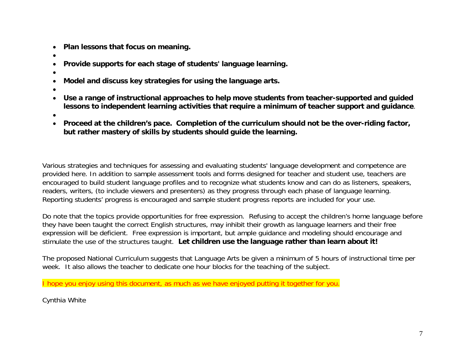- $\bullet$ **Plan lessons that focus on meaning.**
- •
- •**Provide supports for each stage of students' language learning.**
- •
- $\bullet$ **Model and discuss key strategies for using the language arts.**
- •
- • **Use a range of instructional approaches to help move students from teacher-supported and guided lessons to independent learning activities that require a minimum of teacher support and guidance**.
- •
- $\bullet$  **Proceed at the children's pace. Completion of the curriculum should not be the over-riding factor, but rather mastery of skills by students should guide the learning.**

Various strategies and techniques for assessing and evaluating students' language development and competence are provided here. In addition to sample assessment tools and forms designed for teacher and student use, teachers are encouraged to build student language profiles and to recognize what students know and can do as listeners, speakers, readers, writers, (to include viewers and presenters) as they progress through each phase of language learning. Reporting students' progress is encouraged and sample student progress reports are included for your use.

Do note that the topics provide opportunities for free expression. Refusing to accept the children's home language before they have been taught the correct English structures, may inhibit their growth as language learners and their free expression will be deficient. Free expression is important, but ample guidance and modeling should encourage and stimulate the use of the structures taught. **Let children use the language rather than learn about it!**

The proposed National Curriculum suggests that Language Arts be given a minimum of 5 hours of instructional time per week. It also allows the teacher to dedicate one hour blocks for the teaching of the subject.

I hope you enjoy using this document, as much as we have enjoyed putting it together for you.

Cynthia White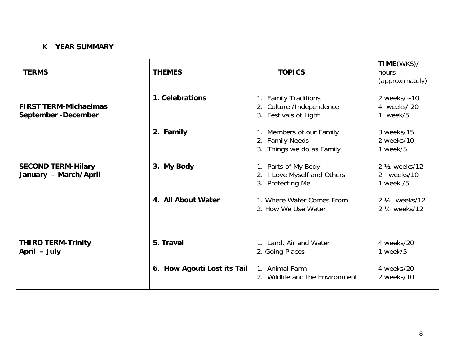## **K YEAR SUMMARY**

| <b>TERMS</b>                                         | <b>THEMES</b>                    | <b>TOPICS</b>                                                                                                              | TIME(WKS)/<br>hours<br>(approximately)                                                                            |
|------------------------------------------------------|----------------------------------|----------------------------------------------------------------------------------------------------------------------------|-------------------------------------------------------------------------------------------------------------------|
| <b>FIRST TERM-Michaelmas</b><br>September - December | 1. Celebrations                  | 1. Family Traditions<br>2. Culture /Independence<br>3. Festivals of Light                                                  | 2 weeks $/$ ~ 10<br>4 weeks/20<br>week/5<br>$\mathbf{1}$                                                          |
|                                                      | 2. Family                        | 1. Members of our Family<br><b>Family Needs</b><br>2.<br>Things we do as Family<br>3.                                      | 3 weeks/15<br>2 weeks/10<br>1 week/5                                                                              |
| <b>SECOND TERM-Hilary</b><br>January - March/April   | 3. My Body<br>4. All About Water | 1. Parts of My Body<br>2. I Love Myself and Others<br>3. Protecting Me<br>1. Where Water Comes From<br>2. How We Use Water | 2 1/ <sub>2</sub> weeks/12<br>2 weeks/10<br>1 week /5<br>2 1/ <sub>2</sub> weeks/12<br>2 1/ <sub>2</sub> weeks/12 |
| <b>THIRD TERM-Trinity</b><br>April - July            | 5. Travel                        | 1. Land, Air and Water<br>2. Going Places                                                                                  | 4 weeks/20<br>1 week/5                                                                                            |
|                                                      | 6. How Agouti Lost its Tail      | 1. Animal Farm<br>2. Wildlife and the Environment                                                                          | 4 weeks/20<br>2 weeks/10                                                                                          |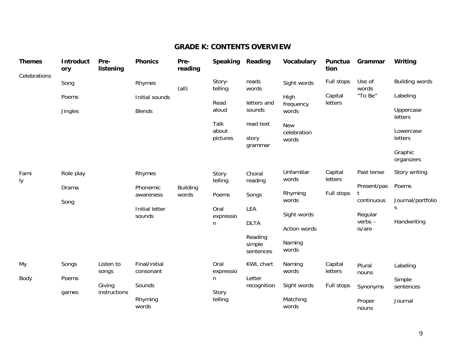## **GRADE K: CONTENTS OVERVIEW**

| <b>Themes</b> | Introduct<br>ory | Pre-<br>listening      | <b>Phonics</b>             | Pre-<br>reading          | <b>Speaking</b>   | Reading                        | <b>Vocabulary</b>         | Punctua<br>tion    | Grammar            | Writing                |
|---------------|------------------|------------------------|----------------------------|--------------------------|-------------------|--------------------------------|---------------------------|--------------------|--------------------|------------------------|
| Celebrations  | Song             |                        | Rhymes                     | (all)                    | Story-<br>telling | reads<br>words                 | Sight words               | Full stops         | Use of<br>words    | <b>Building words</b>  |
|               | Poems            |                        | Initial sounds             |                          | Read              | letters and                    | High<br>frequency         | Capital<br>letters | "To Be"            | Labeling               |
|               | Jingles          |                        | <b>Blends</b>              |                          | aloud             | sounds                         | words                     |                    |                    | Uppercase<br>letters   |
|               |                  |                        |                            |                          | Talk<br>about     | read text                      | <b>New</b><br>celebration |                    |                    | Lowercase              |
|               |                  |                        |                            |                          | pictures          | story<br>grammar               | words                     |                    |                    | letters                |
|               |                  |                        |                            |                          |                   |                                |                           |                    |                    | Graphic<br>organizers  |
| Fami<br>ly    | Role play        |                        | Rhymes                     |                          | Story<br>telling  | Choral<br>reading              | Unfamiliar<br>words       | Capital<br>letters | Past tense         | Story writing          |
|               | Drama            |                        | Phonemic<br>awareness      | <b>Building</b><br>words | Poems             | Songs                          | Rhyming                   | Full stops         | Present/pas        | Poems                  |
|               | Song             |                        | Initial letter             |                          |                   |                                | words                     |                    | continuous         | Journal/portfolio<br>S |
|               |                  |                        | sounds                     |                          | Oral<br>expressio | LEA                            | Sight words               |                    | Regular<br>verbs – | Handwriting            |
|               |                  |                        |                            |                          | n                 | <b>DLTA</b>                    | Action words              |                    | is/are             |                        |
|               |                  |                        |                            |                          |                   | Reading<br>simple<br>sentences | Naming<br>words           |                    |                    |                        |
| My            | Songs            | Listen to<br>songs     | Final/initial<br>consonant |                          | Oral<br>expressio | <b>KWL chart</b>               | Naming<br>words           | Capital<br>letters | Plural             | Labeling               |
| Body          | Poems            |                        |                            |                          | n                 | Letter                         |                           |                    | nouns              | Simple                 |
|               | games            | Giving<br>instructions | Sounds                     |                          | Story             | recognition                    | Sight words               | Full stops         | Synonyms           | sentences              |
|               |                  |                        | Rhyming<br>words           |                          | telling           |                                | Matching<br>words         |                    | Proper<br>nouns    | Journal                |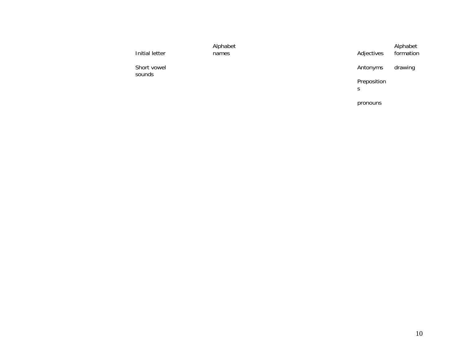| Initial letter        | Alphabet<br>names | Adjectives       | Alphabet<br>formation |
|-----------------------|-------------------|------------------|-----------------------|
| Short vowel<br>sounds |                   | Antonyms         | drawing               |
|                       |                   | Preposition<br>S |                       |
|                       |                   | pronouns         |                       |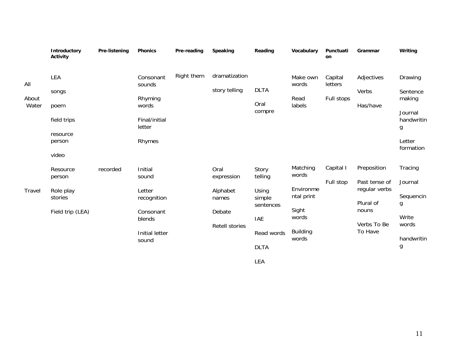|                       | Introductory<br><b>Activity</b>                                    | Pre-listening | <b>Phonics</b>                                                                              | Pre-reading | Speaking                                                                   | Reading                                                                                            | Vocabulary                                                                                 | Punctuati<br>on                  | Grammar                                                                                       | Writing                                                                            |
|-----------------------|--------------------------------------------------------------------|---------------|---------------------------------------------------------------------------------------------|-------------|----------------------------------------------------------------------------|----------------------------------------------------------------------------------------------------|--------------------------------------------------------------------------------------------|----------------------------------|-----------------------------------------------------------------------------------------------|------------------------------------------------------------------------------------|
| All<br>About<br>Water | LEA<br>songs<br>poem<br>field trips<br>resource<br>person<br>video |               | Consonant<br>sounds<br>Rhyming<br>words<br>Final/initial<br>letter<br>Rhymes                | Right them  | dramatization<br>story telling                                             | <b>DLTA</b><br>Oral<br>compre                                                                      | Make own<br>words<br>Read<br>labels                                                        | Capital<br>letters<br>Full stops | Adjectives<br>Verbs<br>Has/have                                                               | Drawing<br>Sentence<br>making<br>Journal<br>handwritin<br>g<br>Letter<br>formation |
| Travel                | Resource<br>person<br>Role play<br>stories<br>Field trip (LEA)     | recorded      | Initial<br>sound<br>Letter<br>recognition<br>Consonant<br>blends<br>Initial letter<br>sound |             | Oral<br>expression<br>Alphabet<br>names<br>Debate<br><b>Retell stories</b> | Story<br>telling<br>Using<br>simple<br>sentences<br><b>IAE</b><br>Read words<br><b>DLTA</b><br>LEA | Matching<br>words<br>Environme<br>ntal print<br>Sight<br>words<br><b>Building</b><br>words | Capital I<br>Full stop           | Preposition<br>Past tense of<br>regular verbs<br>Plural of<br>nouns<br>Verbs To Be<br>To Have | Tracing<br>Journal<br>Sequencin<br>g<br>Write<br>words<br>handwritin<br>g          |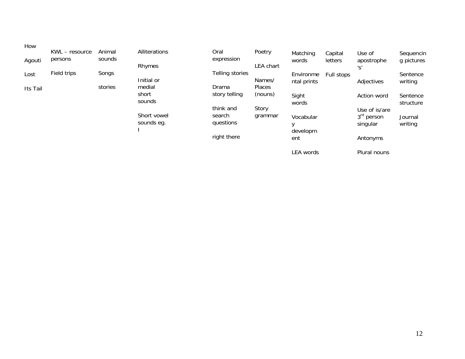| How      | KWL - resource | Animal  | Alliterations   | Oral            | Poetry        | Matching                 | Capital    | Use of                              | Sequencin             |
|----------|----------------|---------|-----------------|-----------------|---------------|--------------------------|------------|-------------------------------------|-----------------------|
| Agouti   | persons        | sounds  | Rhymes          | expression      | LEA chart     | words                    | letters    | apostrophe<br>$^{\prime}S^{\prime}$ | g pictures            |
| Lost     | Field trips    | Songs   | Initial or      | Telling stories | Names/        | Environme<br>ntal prints | Full stops | Adjectives                          | Sentence<br>writing   |
| Its Tail |                | stories | medial          | Drama           | <b>Places</b> |                          |            |                                     |                       |
|          |                |         | short<br>sounds | story telling   | (nouns)       | Sight<br>words           |            | Action word                         | Sentence<br>structure |
|          |                |         |                 | think and       | Story         |                          |            | Use of is/are                       |                       |
|          |                |         | Short vowel     | search          | grammar       | Vocabular                |            | 3 <sup>rd</sup> person              | Journal               |
|          |                |         | sounds eg.      | questions       |               |                          |            | singular                            | writing               |
|          |                |         |                 | right there     |               | developm<br>ent          |            | Antonyms                            |                       |
|          |                |         |                 |                 |               | <b>LEA</b> words         |            | Plural nouns                        |                       |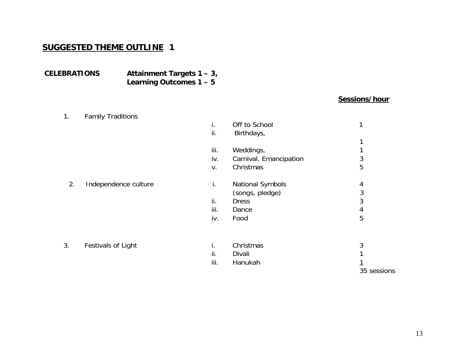## **SUGGESTED THEME OUTLINE 1**

## **CELEBRATIONS Attainment Targets 1 – 3, Learning Outcomes 1 – 5**

## **Sessions/hour**

| 1. | <b>Family Traditions</b> |      |                         |             |
|----|--------------------------|------|-------------------------|-------------|
|    |                          | İ.   | Off to School           | 1           |
|    |                          | ii.  | Birthdays,              |             |
|    |                          |      |                         |             |
|    |                          | iii. | Weddings,               |             |
|    |                          | iv.  | Carnival, Emancipation  | 3           |
|    |                          | V.   | Christmas               | 5           |
| 2. | Independence culture     | i.   | <b>National Symbols</b> | 4           |
|    |                          |      | (songs, pledge)         | 3           |
|    |                          | ii.  | <b>Dress</b>            | 3           |
|    |                          | iii. | Dance                   | 4           |
|    |                          | iv.  | Food                    | 5           |
| 3. | Festivals of Light       | i.   | Christmas               | 3           |
|    |                          | ii.  | Divali                  |             |
|    |                          | iii. | Hanukah                 |             |
|    |                          |      |                         | 35 sessions |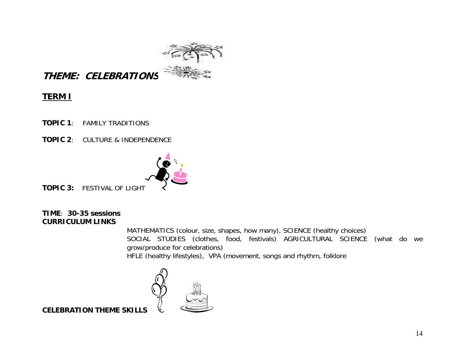

# **THEME: CELEBRATIONS**

## **TERM I**

- **TOPIC 1**: FAMILY TRADITIONS
- **TOPIC 2**: CULTURE & INDEPENDENCE



**TOPIC 3:** FESTIVAL OF LIGHT

## **TIME**: **30-35 sessionsCURRICULUM LINKS**

MATHEMATICS (colour, size, shapes, how many), SCIENCE (healthy choices) SOCIAL STUDIES (clothes, food, festivals) AGRICULTURAL SCIENCE (what do we grow/produce for celebrations) HFLE (healthy lifestyles), VPA (movement, songs and rhythm, folklore



**CELEBRATION THEME SKILLS**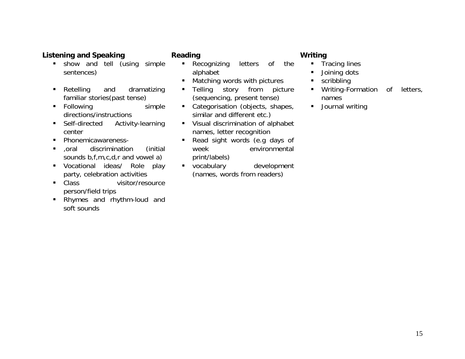## **Listening and Speaking Community Reading Community Community Community Community Community Community Community**

- show and tell (using simple sentences)
- Retelling and dramatizing familiar stories(past tense)
- Following simple directions/instructions
- Self-directed Activity-learning center
- $\blacksquare$ Phonemicawareness-
- $\blacksquare$  ,oral discrimination (initial sounds b,f,m,c,d,r and vowel a)
- Vocational ideas/ Role play party, celebration activities
- $\blacksquare$  Class visitor/resource person/field trips
- Rhymes and rhythm-loud and soft sounds

- Recognizing letters of the alphabet
- Matching words with pictures
- Telling story from picture (sequencing, present tense)
- Categorisation (objects, shapes, similar and different etc.)
- Visual discrimination of alphabet names, letter recognition
- Read sight words (e.g days of week environmental print/labels)
- vocabulary development (names, words from readers)

- Tracing lines
- Joining dots
- $\mathbf{E}^{(1)}$ scribbling
- Writing-Formation of letters, names
- Journal writing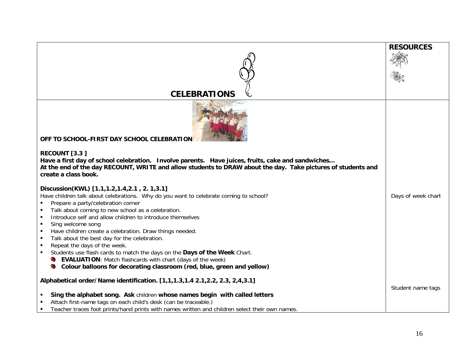|                                                                                                                                                                                                                                                            | <b>RESOURCES</b>   |
|------------------------------------------------------------------------------------------------------------------------------------------------------------------------------------------------------------------------------------------------------------|--------------------|
|                                                                                                                                                                                                                                                            |                    |
|                                                                                                                                                                                                                                                            |                    |
|                                                                                                                                                                                                                                                            |                    |
|                                                                                                                                                                                                                                                            |                    |
| <b>CELEBRATIONS</b>                                                                                                                                                                                                                                        |                    |
| OFF TO SCHOOL-FIRST DAY SCHOOL CELEBRATION                                                                                                                                                                                                                 |                    |
| RECOUNT [3.3]<br>Have a first day of school celebration. Involve parents. Have juices, fruits, cake and sandwiches<br>At the end of the day RECOUNT, WRITE and allow students to DRAW about the day. Take pictures of students and<br>create a class book. |                    |
|                                                                                                                                                                                                                                                            |                    |
| Discussion(KWL) [1.1,1.2,1.4,2.1, 2. 1,3.1]                                                                                                                                                                                                                |                    |
| Have children talk about celebrations. Why do you want to celebrate coming to school?<br>Prepare a party/celebration corner                                                                                                                                | Days of week chart |
| Talk about coming to new school as a celebration.                                                                                                                                                                                                          |                    |
| Introduce self and allow children to introduce themselves                                                                                                                                                                                                  |                    |
| Sing welcome song                                                                                                                                                                                                                                          |                    |
| Have children create a celebration. Draw things needed.                                                                                                                                                                                                    |                    |
| Talk about the best day for the celebration.                                                                                                                                                                                                               |                    |
| Repeat the days of the week.                                                                                                                                                                                                                               |                    |
| Students use flash cards to match the days on the Days of the Week Chart.                                                                                                                                                                                  |                    |
| <b>EVALUATION:</b> Match flashcards with chart (days of the week)                                                                                                                                                                                          |                    |
| Colour balloons for decorating classroom (red, blue, green and yellow)<br>C                                                                                                                                                                                |                    |
| Alphabetical order/Name identification. [1,1,1.3,1.4 2.1,2.2, 2.3, 2,4,3.1]                                                                                                                                                                                |                    |
|                                                                                                                                                                                                                                                            | Student name tags  |
| Sing the alphabet song. Ask children whose names begin with called letters                                                                                                                                                                                 |                    |
| Attach first-name tags on each child's desk (can be traceable.)                                                                                                                                                                                            |                    |
| Teacher traces foot prints/hand prints with names written and children select their own names.                                                                                                                                                             |                    |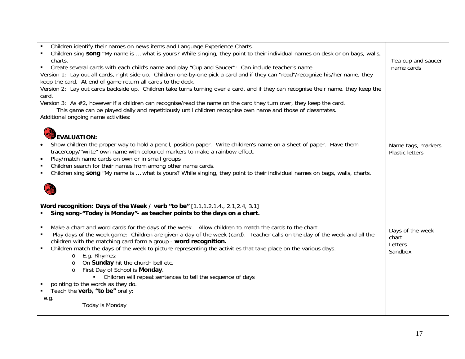| Children identify their names on news items and Language Experience Charts.                                                                 |                                  |
|---------------------------------------------------------------------------------------------------------------------------------------------|----------------------------------|
| Children sing song "My name is  what is yours? While singing, they point to their individual names on desk or on bags, walls,               |                                  |
| charts.<br>Create several cards with each child's name and play "Cup and Saucer": Can include teacher's name.<br>٠                          | Tea cup and saucer<br>name cards |
| Version 1: Lay out all cards, right side up. Children one-by-one pick a card and if they can "read"/recognize his/her name, they            |                                  |
| keep the card. At end of game return all cards to the deck.                                                                                 |                                  |
| Version 2: Lay out cards backside up. Children take turns turning over a card, and if they can recognise their name, they keep the          |                                  |
| card.                                                                                                                                       |                                  |
| Version 3: As #2, however if a children can recognise/read the name on the card they turn over, they keep the card.                         |                                  |
| This game can be played daily and repetitiously until children recognise own name and those of classmates.                                  |                                  |
| Additional ongoing name activities:                                                                                                         |                                  |
|                                                                                                                                             |                                  |
| EVALUATION:                                                                                                                                 |                                  |
| Show children the proper way to hold a pencil, position paper. Write children's name on a sheet of paper. Have them                         | Name tags, markers               |
| trace/copy/"write" own name with coloured markers to make a rainbow effect.                                                                 | <b>Plastic letters</b>           |
| Play/match name cards on own or in small groups<br>$\bullet$                                                                                |                                  |
| Children search for their names from among other name cards.<br>$\blacksquare$                                                              |                                  |
| Children sing song "My name is  what is yours? While singing, they point to their individual names on bags, walls, charts.<br>٠             |                                  |
|                                                                                                                                             |                                  |
|                                                                                                                                             |                                  |
|                                                                                                                                             |                                  |
| Word recognition: Days of the Week / verb "to be" [1.1,1.2,1.4,, 2.1,2.4, 3.1]                                                              |                                  |
| Sing song-"Today is Monday"- as teacher points to the days on a chart.                                                                      |                                  |
|                                                                                                                                             |                                  |
| Make a chart and word cards for the days of the week. Allow children to match the cards to the chart.<br>$\blacksquare$                     | Days of the week                 |
| Play days of the week game: Children are given a day of the week (card). Teacher calls on the day of the week and all the<br>$\blacksquare$ | chart                            |
| children with the matching card form a group - word recognition.                                                                            | Letters                          |
| Children match the days of the week to picture representing the activities that take place on the various days.<br>E.g. Rhymes:<br>$\circ$  | Sandbox                          |
| On Sunday hit the church bell etc.<br>$\circ$                                                                                               |                                  |
| First Day of School is Monday.<br>$\circ$                                                                                                   |                                  |
| Children will repeat sentences to tell the sequence of days                                                                                 |                                  |
| pointing to the words as they do.                                                                                                           |                                  |
| Teach the verb, "to be" orally:<br>٠                                                                                                        |                                  |
| e.g.                                                                                                                                        |                                  |
| Today is Monday                                                                                                                             |                                  |
|                                                                                                                                             |                                  |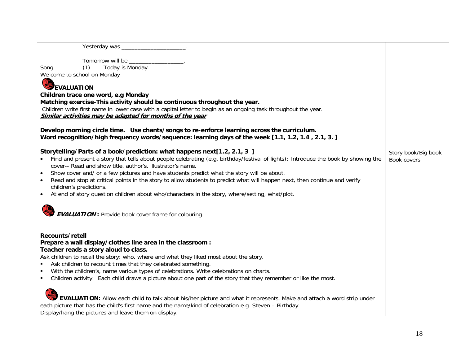| Today is Monday.<br>Song.<br>(1)                                                                                                                                           |                     |
|----------------------------------------------------------------------------------------------------------------------------------------------------------------------------|---------------------|
| We come to school on Monday                                                                                                                                                |                     |
|                                                                                                                                                                            |                     |
| EVALUATION                                                                                                                                                                 |                     |
| Children trace one word, e.g Monday                                                                                                                                        |                     |
| Matching exercise-This activity should be continuous throughout the year.                                                                                                  |                     |
| Children write first name in lower case with a capital letter to begin as an ongoing task throughout the year.<br>Similar activities may be adapted for months of the year |                     |
|                                                                                                                                                                            |                     |
| Develop morning circle time. Use chants/songs to re-enforce learning across the curriculum.                                                                                |                     |
| Word recognition/high frequency words/sequence: learning days of the week [1.1, 1.2, 1.4, 2.1, 3.]                                                                         |                     |
|                                                                                                                                                                            |                     |
| Storytelling/Parts of a book/prediction: what happens next[1.2, 2.1, 3 ]                                                                                                   | Story book/Big book |
| Find and present a story that tells about people celebrating (e.g. birthday/festival of lights): Introduce the book by showing the                                         | Book covers         |
| cover-- Read and show title, author's, illustrator's name.                                                                                                                 |                     |
| Show cover and/ or a few pictures and have students predict what the story will be about.                                                                                  |                     |
| Read and stop at critical points in the story to allow students to predict what will happen next, then continue and verify                                                 |                     |
| children's predictions.                                                                                                                                                    |                     |
| At end of story question children about who/characters in the story, where/setting, what/plot.<br>$\bullet$                                                                |                     |
|                                                                                                                                                                            |                     |
| <b>EVALUATION:</b> Provide book cover frame for colouring.                                                                                                                 |                     |
|                                                                                                                                                                            |                     |
|                                                                                                                                                                            |                     |
| Recounts/retell                                                                                                                                                            |                     |
| Prepare a wall display/clothes line area in the classroom :                                                                                                                |                     |
| Teacher reads a story aloud to class.                                                                                                                                      |                     |
| Ask children to recall the story: who, where and what they liked most about the story.                                                                                     |                     |
| Ask children to recount times that they celebrated something.                                                                                                              |                     |
| With the children's, name various types of celebrations. Write celebrations on charts.                                                                                     |                     |
| Children activity: Each child draws a picture about one part of the story that they remember or like the most.                                                             |                     |
|                                                                                                                                                                            |                     |
|                                                                                                                                                                            |                     |
| <b>EVALUATION:</b> Allow each child to talk about his/her picture and what it represents. Make and attach a word strip under                                               |                     |
| each picture that has the child's first name and the name/kind of celebration e.g. Steven - Birthday.                                                                      |                     |
| Display/hang the pictures and leave them on display.                                                                                                                       |                     |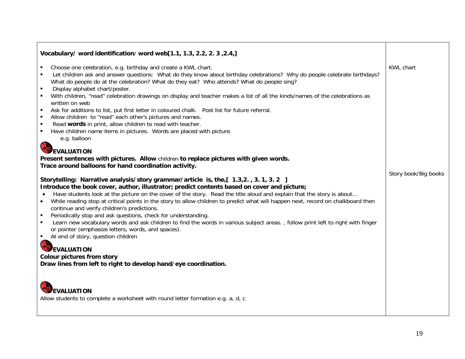| Vocabulary/ word identification/ word web[1.1, 1.3, 2.2, 2. 3, 2.4,]                                                                                                                                                                                                                                                                                                                                                                                                                                                                                                                                                                                                                                                                                                                                                                                                                                                                                                                                                                                                                                                                                                                                                                                                                                                                                                                                                                                                                                                                                                                                                                                                                                                                                                                                                                                                                                                 |                                          |
|----------------------------------------------------------------------------------------------------------------------------------------------------------------------------------------------------------------------------------------------------------------------------------------------------------------------------------------------------------------------------------------------------------------------------------------------------------------------------------------------------------------------------------------------------------------------------------------------------------------------------------------------------------------------------------------------------------------------------------------------------------------------------------------------------------------------------------------------------------------------------------------------------------------------------------------------------------------------------------------------------------------------------------------------------------------------------------------------------------------------------------------------------------------------------------------------------------------------------------------------------------------------------------------------------------------------------------------------------------------------------------------------------------------------------------------------------------------------------------------------------------------------------------------------------------------------------------------------------------------------------------------------------------------------------------------------------------------------------------------------------------------------------------------------------------------------------------------------------------------------------------------------------------------------|------------------------------------------|
| Choose one celebration, e.g. birthday and create a KWL chart.<br>Let children ask and answer questions: What do they know about birthday celebrations? Why do people celebrate birthdays?<br>What do people do at the celebration? What do they eat? Who attends? What do people sing?<br>Display alphabet chart/poster.<br>$\blacksquare$<br>With children, "read" celebration drawings on display and teacher makes a list of all the kinds/names of the celebrations as<br>written on web<br>Ask for additions to list, put first letter in coloured chalk. Post list for future referral.<br>$\blacksquare$<br>Allow children to "read" each other's pictures and names.<br>$\blacksquare$<br>Read words in print, allow children to read with teacher.<br>Have children name items in pictures. Words are placed with picture.<br>e.g. balloon<br><b>EVALUATION</b><br>Present sentences with pictures. Allow children to replace pictures with given words.<br>Trace around balloons for hand coordination activity.<br>Storytelling: Narrative analysis/story grammar/article is, the,[ 1.3,2., 3.1, 3.2 ]<br>Introduce the book cover, author, illustrator; predict contents based on cover and picture;<br>Have students look at the picture on the cover of the story. Read the title aloud and explain that the story is about<br>While reading stop at critical points in the story to allow children to predict what will happen next, record on chalkboard then<br>$\bullet$<br>continue and verify children's predictions.<br>Periodically stop and ask questions, check for understanding.<br>$\blacksquare$<br>Learn new vocabulary words and ask children to find the words in various subject areas., follow print left to right with finger<br>$\blacksquare$<br>or pointer (emphasize letters, words, and spaces).<br>At end of story, question children<br>$\blacksquare$<br><b>EVALUATION</b> | <b>KWL chart</b><br>Story book/Big books |
| <b>Colour pictures from story</b><br>Draw lines from left to right to develop hand/eye coordination.                                                                                                                                                                                                                                                                                                                                                                                                                                                                                                                                                                                                                                                                                                                                                                                                                                                                                                                                                                                                                                                                                                                                                                                                                                                                                                                                                                                                                                                                                                                                                                                                                                                                                                                                                                                                                 |                                          |
| <b>EVALUATION</b><br>Allow students to complete a worksheet with round letter formation e.g. a, d, c                                                                                                                                                                                                                                                                                                                                                                                                                                                                                                                                                                                                                                                                                                                                                                                                                                                                                                                                                                                                                                                                                                                                                                                                                                                                                                                                                                                                                                                                                                                                                                                                                                                                                                                                                                                                                 |                                          |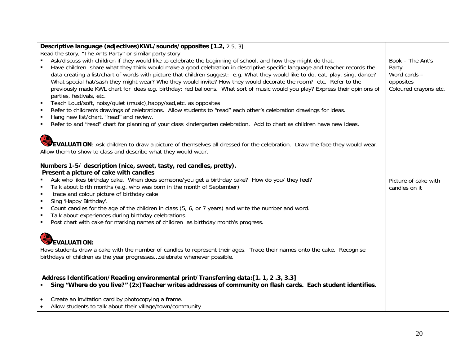| Descriptive language (adjectives) KWL/sounds/opposites [1.2, 2.5, 3]                                                                                                                                                                                                                                                                                                                                                                                                                                                                                                                                                                                                                                                                                                                                                                                                                                                                                                                                                                                                      |                                                                                 |
|---------------------------------------------------------------------------------------------------------------------------------------------------------------------------------------------------------------------------------------------------------------------------------------------------------------------------------------------------------------------------------------------------------------------------------------------------------------------------------------------------------------------------------------------------------------------------------------------------------------------------------------------------------------------------------------------------------------------------------------------------------------------------------------------------------------------------------------------------------------------------------------------------------------------------------------------------------------------------------------------------------------------------------------------------------------------------|---------------------------------------------------------------------------------|
| Read the story, "The Ants Party" or similar party story                                                                                                                                                                                                                                                                                                                                                                                                                                                                                                                                                                                                                                                                                                                                                                                                                                                                                                                                                                                                                   |                                                                                 |
| Ask/discuss with children if they would like to celebrate the beginning of school, and how they might do that.<br>Have children share what they think would make a good celebration in descriptive specific language and teacher records the<br>data creating a list/chart of words with picture that children suggest: e.g. What they would like to do, eat, play, sing, dance?<br>What special hat/sash they might wear? Who they would invite? How they would decorate the room? etc. Refer to the<br>previously made KWL chart for ideas e.g. birthday: red balloons. What sort of music would you play? Express their opinions of<br>parties, festivals, etc.<br>Teach Loud/soft, noisy/quiet (music), happy/sad, etc. as opposites<br>Refer to children's drawings of celebrations. Allow students to "read" each other's celebration drawings for ideas.<br>Hang new list/chart, "read" and review.<br>$\blacksquare$<br>Refer to and "read" chart for planning of your class kindergarten celebration. Add to chart as children have new ideas.<br>$\blacksquare$ | Book - The Ant's<br>Party<br>Word cards -<br>opposites<br>Coloured crayons etc. |
| EVALUATION: Ask children to draw a picture of themselves all dressed for the celebration. Draw the face they would wear.<br>Allow them to show to class and describe what they would wear.                                                                                                                                                                                                                                                                                                                                                                                                                                                                                                                                                                                                                                                                                                                                                                                                                                                                                |                                                                                 |
| Numbers 1-5/ description (nice, sweet, tasty, red candles, pretty).                                                                                                                                                                                                                                                                                                                                                                                                                                                                                                                                                                                                                                                                                                                                                                                                                                                                                                                                                                                                       |                                                                                 |
| Present a picture of cake with candles                                                                                                                                                                                                                                                                                                                                                                                                                                                                                                                                                                                                                                                                                                                                                                                                                                                                                                                                                                                                                                    |                                                                                 |
| Ask who likes birthday cake. When does someone/you get a birthday cake? How do you/ they feel?<br>Talk about birth months (e.g. who was born in the month of September)<br>$\blacksquare$<br>trace and colour picture of birthday cake<br>$\blacksquare$<br>Sing 'Happy Birthday'.<br>$\blacksquare$                                                                                                                                                                                                                                                                                                                                                                                                                                                                                                                                                                                                                                                                                                                                                                      | Picture of cake with<br>candles on it                                           |
| Count candles for the age of the children in class (5, 6, or 7 years) and write the number and word.<br>Talk about experiences during birthday celebrations.<br>$\blacksquare$                                                                                                                                                                                                                                                                                                                                                                                                                                                                                                                                                                                                                                                                                                                                                                                                                                                                                            |                                                                                 |
| Post chart with cake for marking names of children as birthday month's progress.                                                                                                                                                                                                                                                                                                                                                                                                                                                                                                                                                                                                                                                                                                                                                                                                                                                                                                                                                                                          |                                                                                 |
| <b>EVALUATION:</b><br>Have students draw a cake with the number of candles to represent their ages. Trace their names onto the cake. Recognise<br>birthdays of children as the year progressescelebrate whenever possible.                                                                                                                                                                                                                                                                                                                                                                                                                                                                                                                                                                                                                                                                                                                                                                                                                                                |                                                                                 |
| Address Identification/Reading environmental print/Transferring data:[1.1, 2.3, 3.3]<br>Sing "Where do you live?" (2x) Teacher writes addresses of community on flash cards. Each student identifies.<br>$\blacksquare$                                                                                                                                                                                                                                                                                                                                                                                                                                                                                                                                                                                                                                                                                                                                                                                                                                                   |                                                                                 |
| Create an invitation card by photocopying a frame.<br>$\bullet$                                                                                                                                                                                                                                                                                                                                                                                                                                                                                                                                                                                                                                                                                                                                                                                                                                                                                                                                                                                                           |                                                                                 |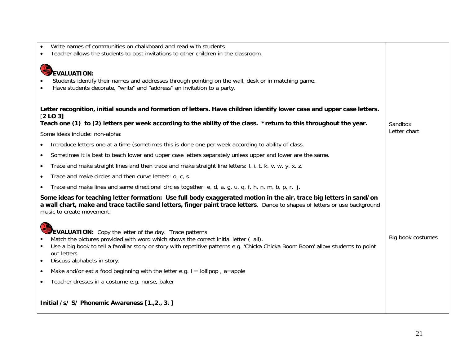| Write names of communities on chalkboard and read with students<br>Teacher allows the students to post invitations to other children in the classroom.                                                                                                                                                                                               |                         |
|------------------------------------------------------------------------------------------------------------------------------------------------------------------------------------------------------------------------------------------------------------------------------------------------------------------------------------------------------|-------------------------|
| <b>EVALUATION:</b><br>Students identify their names and addresses through pointing on the wall, desk or in matching game.<br>Have students decorate, "write" and "address" an invitation to a party.                                                                                                                                                 |                         |
| Letter recognition, initial sounds and formation of letters. Have children identify lower case and upper case letters.<br>[2 L0 3]                                                                                                                                                                                                                   |                         |
| Teach one (1) to (2) letters per week according to the ability of the class. *return to this throughout the year.                                                                                                                                                                                                                                    | Sandbox<br>Letter chart |
| Some ideas include: non-alpha:<br>Introduce letters one at a time (sometimes this is done one per week according to ability of class.                                                                                                                                                                                                                |                         |
| Sometimes it is best to teach lower and upper case letters separately unless upper and lower are the same.<br>$\bullet$                                                                                                                                                                                                                              |                         |
| Trace and make straight lines and then trace and make straight line letters: I, i, t, k, v, w, y, x, z,<br>$\bullet$                                                                                                                                                                                                                                 |                         |
| Trace and make circles and then curve letters: o, c, s<br>$\bullet$                                                                                                                                                                                                                                                                                  |                         |
| Trace and make lines and same directional circles together: e, d, a, g, u, q, f, h, n, m, b, p, r, j,                                                                                                                                                                                                                                                |                         |
| Some ideas for teaching letter formation: Use full body exaggerated motion in the air, trace big letters in sand/on<br>a wall chart, make and trace tactile sand letters, finger paint trace letters. Dance to shapes of letters or use background<br>music to create movement.                                                                      |                         |
| <b>EVALUATION:</b> Copy the letter of the day. Trace patterns<br>Match the pictures provided with word which shows the correct initial letter (all).<br>Use a big book to tell a familiar story or story with repetitive patterns e.g. 'Chicka Chicka Boom Boom' allow students to point<br>out letters.<br>Discuss alphabets in story.<br>$\bullet$ | Big book costumes       |
| Make and/or eat a food beginning with the letter e.g. $I =$ lollipop, a=apple<br>$\bullet$                                                                                                                                                                                                                                                           |                         |
| Teacher dresses in a costume e.g. nurse, baker                                                                                                                                                                                                                                                                                                       |                         |
| Initial /s/ S/ Phonemic Awareness [1.,2., 3.]                                                                                                                                                                                                                                                                                                        |                         |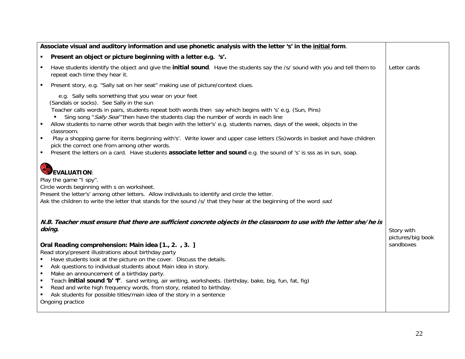| Associate visual and auditory information and use phonetic analysis with the letter 's' in the initial form.                                                                                                                                                                                                                                                                                                                                                                                                                                                                                                                                                                                                                                             |                                 |
|----------------------------------------------------------------------------------------------------------------------------------------------------------------------------------------------------------------------------------------------------------------------------------------------------------------------------------------------------------------------------------------------------------------------------------------------------------------------------------------------------------------------------------------------------------------------------------------------------------------------------------------------------------------------------------------------------------------------------------------------------------|---------------------------------|
| Present an object or picture beginning with a letter e.g. 's'.<br>٠                                                                                                                                                                                                                                                                                                                                                                                                                                                                                                                                                                                                                                                                                      |                                 |
| Have students identify the object and give the <b>initial sound</b> . Have the students say the /s/ sound with you and tell them to<br>$\blacksquare$<br>repeat each time they hear it.                                                                                                                                                                                                                                                                                                                                                                                                                                                                                                                                                                  | Letter cards                    |
| Present story, e.g. "Sally sat on her seat" making use of picture/context clues.<br>$\blacksquare$                                                                                                                                                                                                                                                                                                                                                                                                                                                                                                                                                                                                                                                       |                                 |
| e.g. Sally sells something that you wear on your feet<br>(Sandals or socks). See Sally in the sun<br>Teacher calls words in pairs, students repeat both words then say which begins with 's' e.g. (Sun, Pins)<br>Sing song "Sally Seal" then have the students clap the number of words in each line<br>Allow students to name other words that begin with the letter's' e.g. students names, days of the week, objects in the<br>classroom.<br>Play a shopping game for items beginning with's'. Write lower and upper case letters (Ss)words in basket and have children<br>٠<br>pick the correct one from among other words.<br>Present the letters on a card. Have students associate letter and sound e.g. the sound of 's' is sss as in sun, soap. |                                 |
| <b>EVALUATION:</b><br>Play the game "I spy".<br>Circle words beginning with s on worksheet.<br>Present the letter's' among other letters. Allow individuals to identify and circle the letter.<br>Ask the children to write the letter that stands for the sound /s/ that they hear at the beginning of the word sad.                                                                                                                                                                                                                                                                                                                                                                                                                                    |                                 |
| N.B. Teacher must ensure that there are sufficient concrete objects in the classroom to use with the letter she/he is<br>doing.                                                                                                                                                                                                                                                                                                                                                                                                                                                                                                                                                                                                                          | Story with<br>pictures/big book |
| sandboxes<br>Oral Reading comprehension: Main idea [1., 2., 3.]<br>Read story/present illustrations about birthday party<br>Have students look at the picture on the cover. Discuss the details.<br>п<br>Ask questions to individual students about Main idea in story.<br>$\blacksquare$<br>Make an announcement of a birthday party.<br>$\blacksquare$<br>Teach initial sound 'b' 'f'. sand writing, air writing, worksheets. (birthday, bake, big, fun, fat, fig)<br>$\blacksquare$<br>Read and write high frequency words, from story, related to birthday.<br>$\blacksquare$<br>Ask students for possible titles/main idea of the story in a sentence<br>Ongoing practice                                                                           |                                 |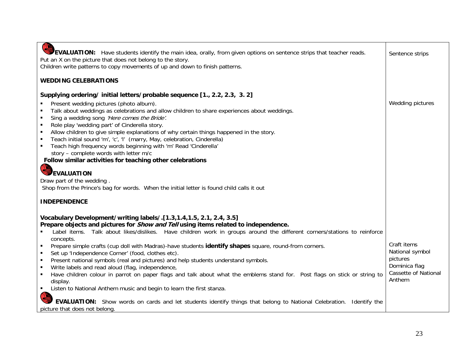| <b>COR</b><br>EVALUATION: Have students identify the main idea, orally, from given options on sentence strips that teacher reads.<br>Put an X on the picture that does not belong to the story.<br>Children write patterns to copy movements of up and down to finish patterns.                                                                                                                                                                                                                                                                                                                                                                                                                                                                                                                                                                                                                                                                                                                                                                            | Sentence strips                                                                                      |
|------------------------------------------------------------------------------------------------------------------------------------------------------------------------------------------------------------------------------------------------------------------------------------------------------------------------------------------------------------------------------------------------------------------------------------------------------------------------------------------------------------------------------------------------------------------------------------------------------------------------------------------------------------------------------------------------------------------------------------------------------------------------------------------------------------------------------------------------------------------------------------------------------------------------------------------------------------------------------------------------------------------------------------------------------------|------------------------------------------------------------------------------------------------------|
| <b>WEDDING CELEBRATIONS</b>                                                                                                                                                                                                                                                                                                                                                                                                                                                                                                                                                                                                                                                                                                                                                                                                                                                                                                                                                                                                                                |                                                                                                      |
| Supplying ordering/ initial letters/probable sequence [1., 2.2, 2.3, 3. 2]<br>Present wedding pictures (photo album).<br>$\blacksquare$<br>$\blacksquare$<br>Talk about weddings as celebrations and allow children to share experiences about weddings.<br>$\blacksquare$<br>Sing a wedding song 'Here comes the Bride'.<br>$\blacksquare$<br>Role play 'wedding part' of Cinderella story.<br>$\blacksquare$<br>Allow children to give simple explanations of why certain things happened in the story.<br>$\blacksquare$<br>Teach initial sound 'm', 'c', 'l' (marry, May, celebration, Cinderella)<br>Teach high frequency words beginning with 'm' Read 'Cinderella'<br>$\blacksquare$<br>story - complete words with letter m/c                                                                                                                                                                                                                                                                                                                      | Wedding pictures                                                                                     |
| Follow similar activities for teaching other celebrations                                                                                                                                                                                                                                                                                                                                                                                                                                                                                                                                                                                                                                                                                                                                                                                                                                                                                                                                                                                                  |                                                                                                      |
| EVALUATION<br>Draw part of the wedding<br>Shop from the Prince's bag for words. When the initial letter is found child calls it out                                                                                                                                                                                                                                                                                                                                                                                                                                                                                                                                                                                                                                                                                                                                                                                                                                                                                                                        |                                                                                                      |
| <b>INDEPENDENCE</b>                                                                                                                                                                                                                                                                                                                                                                                                                                                                                                                                                                                                                                                                                                                                                                                                                                                                                                                                                                                                                                        |                                                                                                      |
| Vocabulary Development/writing labels/.[1.3,1.4,1.5, 2.1, 2.4, 3.5]<br>Prepare objects and pictures for <i>Show and Tell</i> using items related to independence.<br>Label items. Talk about likes/dislikes. Have children work in groups around the different corners/stations to reinforce<br>concepts.<br>Prepare simple crafts (cup doll with Madras)-have students identify shapes square, round-from corners.<br>$\blacksquare$<br>Set up 'Independence Corner' (food, clothes etc).<br>$\blacksquare$<br>Present national symbols (real and pictures) and help students understand symbols.<br>$\blacksquare$<br>Write labels and read aloud (flag, independence,<br>$\blacksquare$<br>Have children colour in parrot on paper flags and talk about what the emblems stand for. Post flags on stick or string to<br>display.<br>$\blacksquare$<br>Listen to National Anthem music and begin to learn the first stanza.<br><b>EVALUATION:</b> Show words on cards and let students identify things that belong to National Celebration. Identify the | Craft items<br>National symbol<br>pictures<br>Dominica flag<br><b>Cassette of National</b><br>Anthem |
| picture that does not belong.                                                                                                                                                                                                                                                                                                                                                                                                                                                                                                                                                                                                                                                                                                                                                                                                                                                                                                                                                                                                                              |                                                                                                      |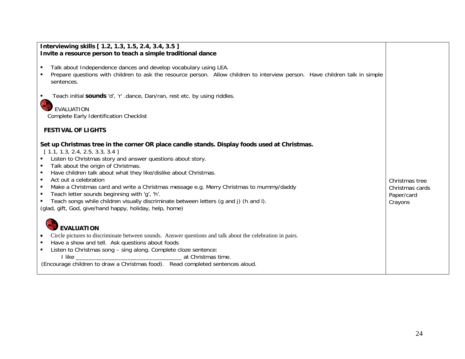| Interviewing skills [ 1.2, 1.3, 1.5, 2.4, 3.4, 3.5 ]                                                                                                                                                                                                                                                                                                                                                                                                                                                                                                                                                                                       |                                                            |
|--------------------------------------------------------------------------------------------------------------------------------------------------------------------------------------------------------------------------------------------------------------------------------------------------------------------------------------------------------------------------------------------------------------------------------------------------------------------------------------------------------------------------------------------------------------------------------------------------------------------------------------------|------------------------------------------------------------|
| Invite a resource person to teach a simple traditional dance                                                                                                                                                                                                                                                                                                                                                                                                                                                                                                                                                                               |                                                            |
| Talk about Independence dances and develop vocabulary using LEA.<br>Prepare questions with children to ask the resource person. Allow children to interview person. Have children talk in simple<br>sentences.                                                                                                                                                                                                                                                                                                                                                                                                                             |                                                            |
| Teach initial sounds 'd', 'r' .dance, Dan/ran, rest etc. by using riddles.                                                                                                                                                                                                                                                                                                                                                                                                                                                                                                                                                                 |                                                            |
| EVALUATION<br>Complete Early Identification Checklist                                                                                                                                                                                                                                                                                                                                                                                                                                                                                                                                                                                      |                                                            |
| <b>FESTIVAL OF LIGHTS</b>                                                                                                                                                                                                                                                                                                                                                                                                                                                                                                                                                                                                                  |                                                            |
| Set up Christmas tree in the corner OR place candle stands. Display foods used at Christmas.<br>[1.1, 1.3, 2.4, 2.5, 3.3, 3.4]<br>Listen to Christmas story and answer questions about story.<br>Talk about the origin of Christmas.<br>Have children talk about what they like/dislike about Christmas.<br>Act out a celebration<br>٠<br>Make a Christmas card and write a Christmas message e.g. Merry Christmas to mummy/daddy<br>Teach letter sounds beginning with 'q', 'h'.<br>٠<br>Teach songs while children visually discriminate between letters (g and j) (h and l).<br>(glad, gift, God, give/hand happy, holiday, help, home) | Christmas tree<br>Christmas cards<br>Paper/card<br>Crayons |
| <b>EVALUATION</b><br>Circle pictures to discriminate between sounds. Answer questions and talk about the celebration in pairs.<br>Have a show and tell. Ask questions about foods<br>Listen to Christmas song - sing along. Complete cloze sentence:<br>I like<br>at Christmas time.<br>(Encourage children to draw a Christmas food). Read completed sentences aloud.                                                                                                                                                                                                                                                                     |                                                            |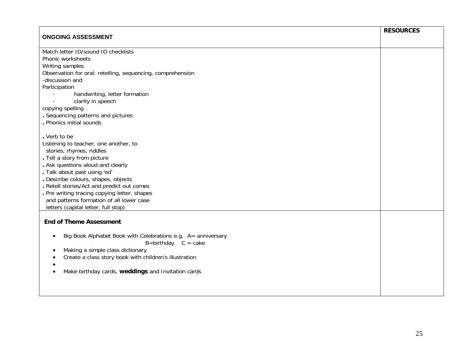|                                                                           | <b>RESOURCES</b> |
|---------------------------------------------------------------------------|------------------|
| <b>ONGOING ASSESSMENT</b>                                                 |                  |
| Match letter ID/sound ID checklists                                       |                  |
| Phonic worksheets                                                         |                  |
| Writing samples                                                           |                  |
| Observation for oral: retelling, sequencing, comprehension                |                  |
| -discussion and                                                           |                  |
| Participation                                                             |                  |
| handwriting, letter formation                                             |                  |
| clarity in speech                                                         |                  |
| copying spelling                                                          |                  |
| . Sequencing patterns and pictures                                        |                  |
| . Phonics initial sounds                                                  |                  |
|                                                                           |                  |
| . Verb to be                                                              |                  |
| Listening to teacher, one another, to                                     |                  |
| stories, rhymes, riddles                                                  |                  |
| . Tell a story from picture                                               |                  |
| . Ask questions aloud and clearly                                         |                  |
| . Talk about past using 'ed'                                              |                  |
| . Describe colours, shapes, objects                                       |                  |
| Retell stories/Act and predict out comes                                  |                  |
| . Pre writing tracing copying letter, shapes                              |                  |
| and patterns formation of all lower case                                  |                  |
| letters (capital letter, full stop)                                       |                  |
| <b>End of Theme Assessment</b>                                            |                  |
|                                                                           |                  |
| Big Book Alphabet Book with Celebrations e.g. A= anniversary<br>$\bullet$ |                  |
| $B = \text{birthday}$ $C = \text{cake}$                                   |                  |
| Making a simple class dictionary                                          |                  |
| Create a class story book with children's illustration                    |                  |
|                                                                           |                  |
| Make birthday cards, weddings and Invitation cards                        |                  |
|                                                                           |                  |
|                                                                           |                  |
|                                                                           |                  |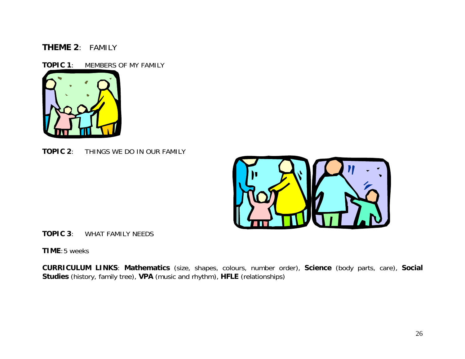## **THEME 2**: FAMILY

**TOPIC 1**: MEMBERS OF MY FAMILY



**TOPIC 2**: THINGS WE DO IN OUR FAMILY



**TOPIC 3**: WHAT FAMILY NEEDS

**TIME**: 5 weeks

**CURRICULUM LINKS**: **Mathematics** (size, shapes, colours, number order), **Science** (body parts, care), **Social Studies** (history, family tree), **VPA** (music and rhythm), **HFLE** (relationships)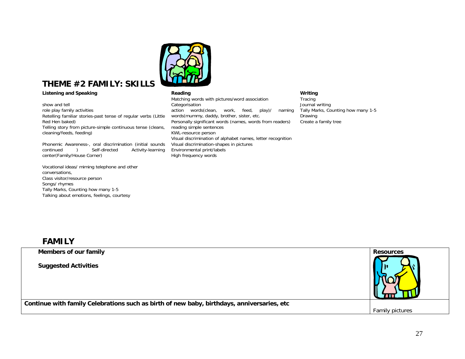

# **THEME #2 FAMILY: SKILLS**

show and tell role play family activities Retelling familiar stories-past tense of regular verbs (Little Red Hen baked) Telling story from picture-simple continuous tense (cleans, cleaning/feeds, feeding)

Phonemic Awareness-, oral discrimination (initial sounds continued ) Self-directed Activity-learning center(Family/House Corner)

Vocational ideas/ miming telephone and other conversations, Class visitor/resource person Songs/ rhymes Tally Marks, Counting how many 1-5 Talking about emotions, feelings, courtesy

**Listening and Speaking Community Community Reading Community Community Community Community Community Community** Matching words with pictures/word association Categorisation action words(clean, work, feed, play)/ naming words(mummy, daddy, brother, sister, etc. Personally significant words (names, words from readers) reading simple sentences KWL-resource person Visual discrimination of alphabet names, letter recognition Visual discrimination-shapes in pictures Environmental print/labels High frequency words

Tracing Journal writing Tally Marks, Counting how many 1-5 Drawing Create a family tree

## **FAMILY**

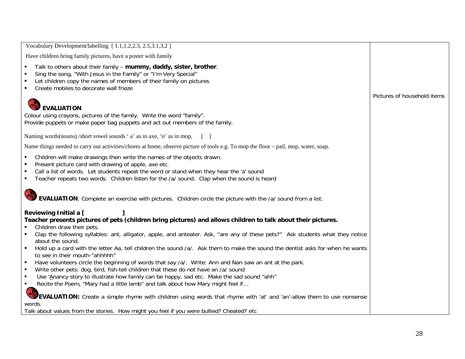| Vocabulary Development/labelling [1.1,1.2,2.3, 2.5,3.1,3.2]                                                                                                                                                                                                                                                              |                             |
|--------------------------------------------------------------------------------------------------------------------------------------------------------------------------------------------------------------------------------------------------------------------------------------------------------------------------|-----------------------------|
| Have children bring family pictures, have a poster with family                                                                                                                                                                                                                                                           |                             |
| Talk to others about their family - mummy, daddy, sister, brother.<br>Sing the song, "With Jesus in the Family" or "I'm Very Special"<br>Let children copy the names of members of their family on pictures<br>Create mobiles to decorate wall frieze                                                                    |                             |
|                                                                                                                                                                                                                                                                                                                          | Pictures of household items |
| <b>EVALUATION</b><br>Colour using crayons, pictures of the family. Write the word "family".<br>Provide puppets or make paper bag puppets and act out members of the family.                                                                                                                                              |                             |
| Naming words (nouns) /short vowel sounds 'a' as in axe, 'o' as in mop,                                                                                                                                                                                                                                                   |                             |
| Name things needed to carry out activities/chores at home, observe picture of tools e.g. To mop the floor – pail, mop, water, soap.                                                                                                                                                                                      |                             |
| Children will make drawings then write the names of the objects drawn.<br>Present picture card with drawing of apple, axe etc.<br>Call a list of words. Let students repeat the word or stand when they hear the 'a' sound<br>Teacher repeats two words. Children listen for the /a/ sound. Clap when the sound is heard |                             |
| EVALUATION: Complete an exercise with pictures. Children circle the picture with the /a/ sound from a list.                                                                                                                                                                                                              |                             |
| Reviewing Initial a [<br>Teacher presents pictures of pets (children bring pictures) and allows children to talk about their pictures.<br>Children draw their pets.                                                                                                                                                      |                             |
| Clap the following syllables: ant, alligator, apple, and anteater. Ask, "are any of these pets?" Ask students what they notice                                                                                                                                                                                           |                             |
| about the sound.<br>Hold up a card with the letter Aa, tell children the sound /a/. Ask them to make the sound the dentist asks for when he wants<br>to see in their mouth-"ahhhhh"                                                                                                                                      |                             |
| Have volunteers circle the beginning of words that say /a/. Write: Ann and Nan saw an ant at the park.<br>$\blacksquare$<br>Write other pets: dog, bird, fish-tell children that these do not have an /a/ sound                                                                                                          |                             |
| Use 'Anancy story to illustrate how family can be happy, sad etc. Make the sad sound "ahh"<br>$\blacksquare$                                                                                                                                                                                                             |                             |
| Recite the Poem, "Mary had a little lamb" and talk about how Mary might feel if<br>$\blacksquare$                                                                                                                                                                                                                        |                             |
| COR<br><b>EVALUATION:</b> Create a simple rhyme with children using words that rhyme with 'at' and 'an'-allow them to use nonsense<br>words.                                                                                                                                                                             |                             |
| Talk about values from the stories. How might you feel if you were bullied? Cheated? etc                                                                                                                                                                                                                                 |                             |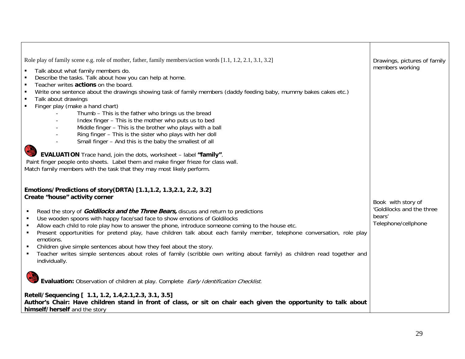| Role play of family scene e.g. role of mother, father, family members/action words [1.1, 1.2, 2.1, 3.1, 3.2]<br>Talk about what family members do.<br>$\blacksquare$<br>Describe the tasks. Talk about how you can help at home.<br>$\blacksquare$<br>Teacher writes actions on the board.<br>$\blacksquare$<br>Write one sentence about the drawings showing task of family members (daddy feeding baby, mummy bakes cakes etc.)<br>$\blacksquare$                                                                                                                                                                                                       | Drawings, pictures of family<br>members working            |
|-----------------------------------------------------------------------------------------------------------------------------------------------------------------------------------------------------------------------------------------------------------------------------------------------------------------------------------------------------------------------------------------------------------------------------------------------------------------------------------------------------------------------------------------------------------------------------------------------------------------------------------------------------------|------------------------------------------------------------|
| Talk about drawings<br>$\blacksquare$<br>Finger play (make a hand chart)<br>$\blacksquare$<br>Thumb - This is the father who brings us the bread<br>Index finger - This is the mother who puts us to bed<br>Middle finger - This is the brother who plays with a ball<br>Ring finger - This is the sister who plays with her doll<br>Small finger - And this is the baby the smallest of all<br><b>EVALUATION</b> Trace hand, join the dots, worksheet - label "family".                                                                                                                                                                                  |                                                            |
| Paint finger people onto sheets. Label them and make finger frieze for class wall.<br>Match family members with the task that they may most likely perform.<br>Emotions/Predictions of story(DRTA) [1.1,1.2, 1.3, 2.1, 2.2, 3.2]<br>Create "house" activity corner                                                                                                                                                                                                                                                                                                                                                                                        | Book with story of                                         |
| Read the story of <i>Goldilocks and the Three Bears</i> , discuss and return to predictions<br>Use wooden spoons with happy face/sad face to show emotions of Goldilocks<br>Allow each child to role play how to answer the phone, introduce someone coming to the house etc.<br>Present opportunities for pretend play, have children talk about each family member, telephone conversation, role play<br>$\blacksquare$<br>emotions.<br>Children give simple sentences about how they feel about the story.<br>Teacher writes simple sentences about roles of family (scribble own writing about family) as children read together and<br>individually. | 'Goldilocks and the three<br>bears'<br>Telephone/cellphone |
| Evaluation: Observation of children at play. Complete Early Identification Checklist.<br>Retell/Sequencing [ 1.1, 1.2, 1.4, 2.1, 2.3, 3.1, 3.5]<br>Author's Chair: Have children stand in front of class, or sit on chair each given the opportunity to talk about<br>himself/herself and the story                                                                                                                                                                                                                                                                                                                                                       |                                                            |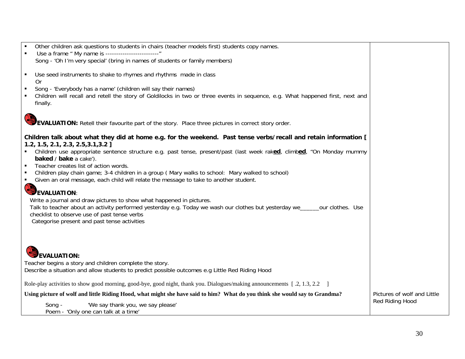| Other children ask questions to students in chairs (teacher models first) students copy names.                                 |                  |                             |
|--------------------------------------------------------------------------------------------------------------------------------|------------------|-----------------------------|
| Use a frame " My name is -------------------------"                                                                            |                  |                             |
| Song - 'Oh I'm very special' (bring in names of students or family members)                                                    |                  |                             |
|                                                                                                                                |                  |                             |
| Use seed instruments to shake to rhymes and rhythms made in class<br>٠                                                         |                  |                             |
| 0r                                                                                                                             |                  |                             |
| Song - 'Everybody has a name' (children will say their names)                                                                  |                  |                             |
| Children will recall and retell the story of Goldilocks in two or three events in sequence, e.g. What happened first, next and |                  |                             |
| finally.                                                                                                                       |                  |                             |
|                                                                                                                                |                  |                             |
|                                                                                                                                |                  |                             |
| <b>EVALUATION:</b> Retell their favourite part of the story. Place three pictures in correct story order.                      |                  |                             |
|                                                                                                                                |                  |                             |
| Children talk about what they did at home e.g. for the weekend. Past tense verbs/recall and retain information [               |                  |                             |
| $1.2, 1.5, 2.1, 2.3, 2.5, 3.1, 3.2$ ]                                                                                          |                  |                             |
| Children use appropriate sentence structure e.g. past tense, present/past (last week raked, climbed, "On Monday mummy          |                  |                             |
| baked / bake a cake').                                                                                                         |                  |                             |
| Teacher creates list of action words.                                                                                          |                  |                             |
| Children play chain game; 3-4 children in a group (Mary walks to school: Mary walked to school)                                |                  |                             |
| Given an oral message, each child will relate the message to take to another student.                                          |                  |                             |
| EVALUATION:                                                                                                                    |                  |                             |
|                                                                                                                                |                  |                             |
| Write a journal and draw pictures to show what happened in pictures.                                                           |                  |                             |
| Talk to teacher about an activity performed yesterday e.g. Today we wash our clothes but yesterday we____                      | our clothes. Use |                             |
| checklist to observe use of past tense verbs                                                                                   |                  |                             |
| Categorise present and past tense activities                                                                                   |                  |                             |
|                                                                                                                                |                  |                             |
|                                                                                                                                |                  |                             |
|                                                                                                                                |                  |                             |
|                                                                                                                                |                  |                             |
| <b>EVALUATION:</b>                                                                                                             |                  |                             |
| Teacher begins a story and children complete the story.                                                                        |                  |                             |
| Describe a situation and allow students to predict possible outcomes e.g Little Red Riding Hood                                |                  |                             |
|                                                                                                                                |                  |                             |
| Role-play activities to show good morning, good-bye, good night, thank you. Dialogues/making announcements [.2, 1.3, 2.2 ]     |                  |                             |
| Using picture of wolf and little Riding Hood, what might she have said to him? What do you think she would say to Grandma?     |                  | Pictures of wolf and Little |
|                                                                                                                                |                  | Red Riding Hood             |
| 'We say thank you, we say please'<br>Song -                                                                                    |                  |                             |
| Poem - 'Only one can talk at a time'                                                                                           |                  |                             |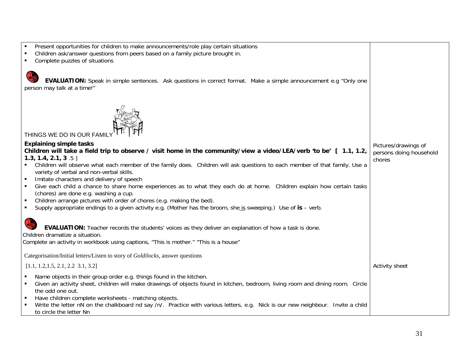| Present opportunities for children to make announcements/role play certain situations                                                                  |                         |
|--------------------------------------------------------------------------------------------------------------------------------------------------------|-------------------------|
| Children ask/answer questions from peers based on a family picture brought in.                                                                         |                         |
| Complete puzzles of situations                                                                                                                         |                         |
| EVALUATION: Speak in simple sentences. Ask questions in correct format. Make a simple announcement e.g "Only one<br>person may talk at a time!"        |                         |
| THINGS WE DO IN OUR FAM                                                                                                                                |                         |
| <b>Explaining simple tasks</b>                                                                                                                         | Pictures/drawings of    |
| Children will take a field trip to observe / visit home in the community/view a video/LEA/verb 'to be' [ 1.1, 1.2,                                     | persons doing household |
| 1.3, 1.4, 2.1, 3 $.5$ ]<br>Children will observe what each member of the family does. Children will ask questions to each member of that family. Use a | chores                  |
| variety of verbal and non-verbal skills.                                                                                                               |                         |
| Imitate characters and delivery of speech                                                                                                              |                         |
| Give each child a chance to share home experiences as to what they each do at home. Children explain how certain tasks                                 |                         |
| (chores) are done e.g. washing a cup.                                                                                                                  |                         |
| Children arrange pictures with order of chores (e.g. making the bed).                                                                                  |                         |
| Supply appropriate endings to a given activity e.g. (Mother has the broom, she is sweeping.) Use of is – verb.<br>$\blacksquare$                       |                         |
|                                                                                                                                                        |                         |
| <b>EVALUATION:</b> Teacher records the students' voices as they deliver an explanation of how a task is done.                                          |                         |
| Children dramatize a situation.                                                                                                                        |                         |
| Complete an activity in workbook using captions, "This is mother." "This is a house"                                                                   |                         |
| Categorisation/Initial letters/Listen to story of Goldilocks, answer questions                                                                         |                         |
| [1.1, 1.2, 1.5, 2.1, 2.2, 3.1, 3.2]                                                                                                                    | Activity sheet          |
| Name objects in their group order e.g. things found in the kitchen.                                                                                    |                         |
| Given an activity sheet, children will make drawings of objects found in kitchen, bedroom, living room and dining room. Circle<br>٠                    |                         |
| the odd one out.                                                                                                                                       |                         |
| Have children complete worksheets - matching objects.<br>٠                                                                                             |                         |
| Write the letter nN on the chalkboard nd say /n/. Practice with various letters, e.g. Nick is our new neighbour. Invite a child                        |                         |
| to circle the letter Nn                                                                                                                                |                         |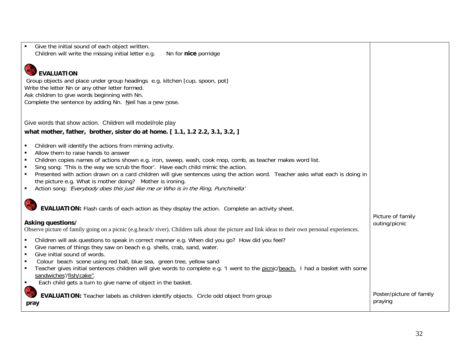| Give the initial sound of each object written.<br>Children will write the missing initial letter e.g.<br>Nn for nice porridge                                                                                                                                                                                                                                                                                                                                                                                                                                                                                                                                                                                                |                                     |
|------------------------------------------------------------------------------------------------------------------------------------------------------------------------------------------------------------------------------------------------------------------------------------------------------------------------------------------------------------------------------------------------------------------------------------------------------------------------------------------------------------------------------------------------------------------------------------------------------------------------------------------------------------------------------------------------------------------------------|-------------------------------------|
| <b>EVALUATION</b><br>Group objects and place under group headings e.g. kitchen [cup, spoon, pot]<br>Write the letter Nn or any other letter formed.<br>Ask children to give words beginning with Nn.<br>Complete the sentence by adding Nn. Neil has a new nose.                                                                                                                                                                                                                                                                                                                                                                                                                                                             |                                     |
| Give words that show action. Children will model/role play<br>what mother, father, brother, sister do at home. [1.1, 1.2 2.2, 3.1, 3.2, ]                                                                                                                                                                                                                                                                                                                                                                                                                                                                                                                                                                                    |                                     |
| Children will identify the actions from miming activity.<br>Allow them to raise hands to answer<br>Children copies names of actions shown e.g. iron, sweep, wash, cook mop, comb, as teacher makes word list.<br>$\blacksquare$<br>Sing song: 'This is the way we scrub the floor'. Have each child mimic the action.<br>Presented with action drawn on a card children will give sentences using the action word. Teacher asks what each is doing in<br>the picture e.g. What is mother doing? Mother is ironing.<br>Action song: 'Everybody does this just like me or Who is in the Ring, Punchinella'<br>$\blacksquare$<br>EVALUATION: Flash cards of each action as they display the action. Complete an activity sheet. |                                     |
| Asking questions/<br>Observe picture of family going on a picnic (e.g.beach/river). Children talk about the picture and link ideas to their own personal experiences.                                                                                                                                                                                                                                                                                                                                                                                                                                                                                                                                                        | Picture of family<br>outing/picnic  |
| Children will ask questions to speak in correct manner e.g. When did you go? How did you feel?<br>Give names of things they saw on beach e.g. shells, crab, sand, water.<br>Give initial sound of words.<br>$\blacksquare$<br>Colour beach scene using red ball, blue sea, green tree, yellow sand<br>$\blacksquare$<br>Teacher gives initial sentences children will give words to complete e.g. 'I went to the picnic/beach. I had a basket with some<br>sandwiches/fish/cake".<br>Each child gets a turn to give name of object in the basket.<br>$\blacksquare$                                                                                                                                                          |                                     |
| <b>EVALUATION:</b> Teacher labels as children identify objects. Circle odd object from group<br>pray                                                                                                                                                                                                                                                                                                                                                                                                                                                                                                                                                                                                                         | Poster/picture of family<br>praying |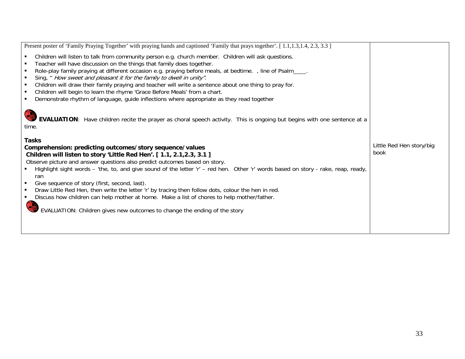| Present poster of 'Family Praying Together' with praying hands and captioned 'Family that prays together'. [1.1,1.3,1.4, 2.3, 3.3]                                                                                                                                                                                                                                                                                                                                                                                                                                                      |                                  |
|-----------------------------------------------------------------------------------------------------------------------------------------------------------------------------------------------------------------------------------------------------------------------------------------------------------------------------------------------------------------------------------------------------------------------------------------------------------------------------------------------------------------------------------------------------------------------------------------|----------------------------------|
| Children will listen to talk from community person e.g. church member. Children will ask questions.<br>٠                                                                                                                                                                                                                                                                                                                                                                                                                                                                                |                                  |
| Teacher will have discussion on the things that family does together.<br>п                                                                                                                                                                                                                                                                                                                                                                                                                                                                                                              |                                  |
| Role-play family praying at different occasion e.g. praying before meals, at bedtime. , line of Psalm____.<br>$\blacksquare$                                                                                                                                                                                                                                                                                                                                                                                                                                                            |                                  |
| Sing, " How sweet and pleasant it for the family to dwell in unity".                                                                                                                                                                                                                                                                                                                                                                                                                                                                                                                    |                                  |
| Children will draw their family praying and teacher will write a sentence about one thing to pray for.<br>$\blacksquare$                                                                                                                                                                                                                                                                                                                                                                                                                                                                |                                  |
| Children will begin to learn the rhyme 'Grace Before Meals' from a chart.<br>$\blacksquare$                                                                                                                                                                                                                                                                                                                                                                                                                                                                                             |                                  |
| Demonstrate rhythm of language, guide inflections where appropriate as they read together<br>٠                                                                                                                                                                                                                                                                                                                                                                                                                                                                                          |                                  |
| EVALUATION: Have children recite the prayer as choral speech activity. This is ongoing but begins with one sentence at a<br>time.<br><b>Tasks</b><br>Comprehension: predicting outcomes/story sequence/values<br>Children will listen to story 'Little Red Hen'. [1.1, 2.1, 2.3, 3.1]<br>Observe picture and answer questions also predict outcomes based on story.<br>Highlight sight words – 'the, to, and give sound of the letter 'r' – red hen. Other 'r' words based on story - rake, reap, ready,<br>ran<br>Give sequence of story (first, second, last).<br>٠<br>$\blacksquare$ | Little Red Hen story/big<br>book |
| Draw Little Red Hen, then write the letter 'r' by tracing then follow dots, colour the hen in red.                                                                                                                                                                                                                                                                                                                                                                                                                                                                                      |                                  |
| Discuss how children can help mother at home. Make a list of chores to help mother/father.                                                                                                                                                                                                                                                                                                                                                                                                                                                                                              |                                  |
| EVALUATION: Children gives new outcomes to change the ending of the story                                                                                                                                                                                                                                                                                                                                                                                                                                                                                                               |                                  |
|                                                                                                                                                                                                                                                                                                                                                                                                                                                                                                                                                                                         |                                  |
|                                                                                                                                                                                                                                                                                                                                                                                                                                                                                                                                                                                         |                                  |
|                                                                                                                                                                                                                                                                                                                                                                                                                                                                                                                                                                                         |                                  |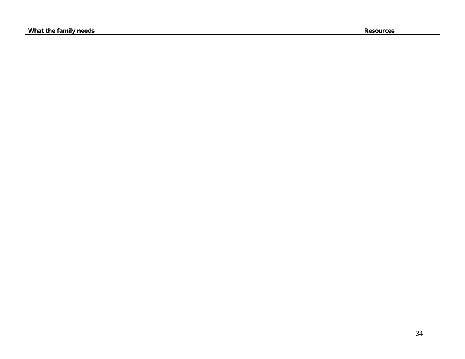**What the family needs** Resources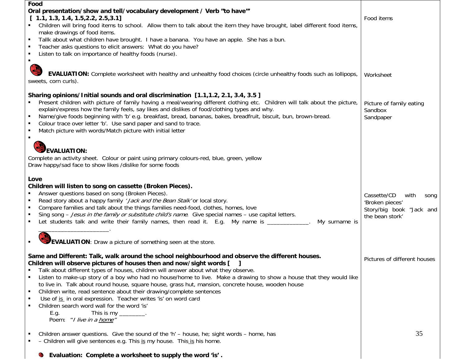| Food<br>Oral presentation/show and tell/vocabulary development / Verb "to have"<br>[1.1, 1.3, 1.4, 1.5, 2.2, 2.5, 3.1]<br>Children will bring food items to school. Allow them to talk about the item they have brought, label different food items,<br>make drawings of food items.<br>Tallk about what children have brought. I have a banana. You have an apple. She has a bun.<br>Teacher asks questions to elicit answers: What do you have?<br>Listen to talk on importance of healthy foods (nurse).                                                                                                                                                                                                                                                                                                                                                                                                                                                                                                                                                                                                                                                                    | Food items                                                                                    |
|--------------------------------------------------------------------------------------------------------------------------------------------------------------------------------------------------------------------------------------------------------------------------------------------------------------------------------------------------------------------------------------------------------------------------------------------------------------------------------------------------------------------------------------------------------------------------------------------------------------------------------------------------------------------------------------------------------------------------------------------------------------------------------------------------------------------------------------------------------------------------------------------------------------------------------------------------------------------------------------------------------------------------------------------------------------------------------------------------------------------------------------------------------------------------------|-----------------------------------------------------------------------------------------------|
| O<br><b>EVALUATION:</b> Complete worksheet with healthy and unhealthy food choices (circle unhealthy foods such as lollipops,<br>sweets, corn curls).                                                                                                                                                                                                                                                                                                                                                                                                                                                                                                                                                                                                                                                                                                                                                                                                                                                                                                                                                                                                                          | Worksheet                                                                                     |
| Sharing opinions/Initial sounds and oral discrimination [1.1,1.2, 2.1, 3.4, 3.5]<br>Present children with picture of family having a meal/wearing different clothing etc. Children will talk about the picture,<br>explain/express how the family feels, say likes and dislikes of food/clothing types and why.<br>Name/give foods beginning with 'b' e.g. breakfast, bread, bananas, bakes, breadfruit, biscuit, bun, brown-bread.<br>Colour trace over letter 'b'. Use sand paper and sand to trace.<br>Match picture with words/Match picture with initial letter                                                                                                                                                                                                                                                                                                                                                                                                                                                                                                                                                                                                           | Picture of family eating<br>Sandbox<br>Sandpaper                                              |
| <b>EVALUATION:</b><br>Complete an activity sheet. Colour or paint using primary colours-red, blue, green, yellow<br>Draw happy/sad face to show likes /dislike for some foods                                                                                                                                                                                                                                                                                                                                                                                                                                                                                                                                                                                                                                                                                                                                                                                                                                                                                                                                                                                                  |                                                                                               |
| Love<br>Children will listen to song on cassette (Broken Pieces).<br>Answer questions based on song (Broken Pieces).<br>Read story about a happy family 'Jack and the Bean Stalk' or local story.<br>Compare families and talk about the things families need-food, clothes, homes, love<br>Sing song - Jesus in the family or substitute child's name. Give special names - use capital letters.<br>Let students talk and write their family names, then read it. E.g. My name is _____________.<br>My surname is                                                                                                                                                                                                                                                                                                                                                                                                                                                                                                                                                                                                                                                             | Cassette/CD<br>with<br>song<br>'Broken pieces'<br>Story/big book "Jack and<br>the bean stork' |
| EVALUATION: Draw a picture of something seen at the store.                                                                                                                                                                                                                                                                                                                                                                                                                                                                                                                                                                                                                                                                                                                                                                                                                                                                                                                                                                                                                                                                                                                     |                                                                                               |
| Same and Different: Talk, walk around the school neighbourhood and observe the different houses.<br>Children will observe pictures of houses then and now/sight words [<br>Talk about different types of houses, children will answer about what they observe.<br>Listen to make-up story of a boy who had no house/home to live. Make a drawing to show a house that they would like<br>to live in. Talk about round house, square house, grass hut, mansion, concrete house, wooden house<br>Children write, read sentence about their drawing/complete sentences<br>п.<br>Use of is in oral expression. Teacher writes 'is' on word card<br>Children search word wall for the word 'is'<br>This is my $\frac{1}{\frac{1}{2} \cdot \frac{1}{2} \cdot \frac{1}{2} \cdot \frac{1}{2} \cdot \frac{1}{2} \cdot \frac{1}{2} \cdot \frac{1}{2} \cdot \frac{1}{2} \cdot \frac{1}{2} \cdot \frac{1}{2} \cdot \frac{1}{2} \cdot \frac{1}{2} \cdot \frac{1}{2} \cdot \frac{1}{2} \cdot \frac{1}{2} \cdot \frac{1}{2} \cdot \frac{1}{2} \cdot \frac{1}{2} \cdot \frac{1}{2} \cdot \frac{1}{2} \cdot \frac{1}{2} \cdot \frac{1}{2} \cdot \frac{1}{2$<br>E.g.<br>Poem: "I live in a home" | Pictures of different houses                                                                  |
| Children answer questions. Give the sound of the 'h' - house, he; sight words - home, has<br>- Children will give sentences e.g. This is my house. This is his home.                                                                                                                                                                                                                                                                                                                                                                                                                                                                                                                                                                                                                                                                                                                                                                                                                                                                                                                                                                                                           | 35                                                                                            |
| Evaluation: Complete a worksheet to supply the word 'is'.<br>Q.                                                                                                                                                                                                                                                                                                                                                                                                                                                                                                                                                                                                                                                                                                                                                                                                                                                                                                                                                                                                                                                                                                                |                                                                                               |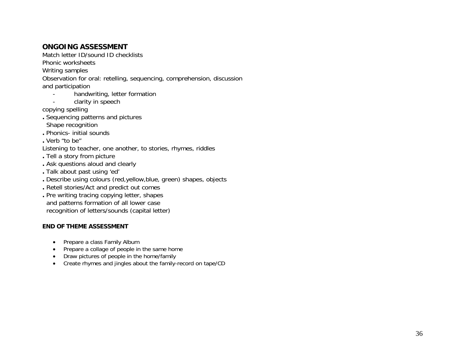## **ONGOING ASSESSMENT**

Match letter ID/sound ID checklists

Phonic worksheets

Writing samples

Observation for oral: retelling, sequencing, comprehension, discussion and participation

- handwriting, letter formation
- clarity in speech

copying spelling

- **.** Sequencing patterns and pictures Shape recognition
- 
- **.** Phonics- initial sounds

**.** Verb "to be"

- Listening to teacher, one another, to stories, rhymes, riddles
- **.** Tell a story from picture
- **.** Ask questions aloud and clearly
- **.** Talk about past using 'ed'
- **.** Describe using colours (red,yellow,blue, green) shapes, objects
- **.** Retell stories/Act and predict out comes
- **.** Pre writing tracing copying letter, shapes and patterns formation of all lower case recognition of letters/sounds (capital letter)

## **END OF THEME ASSESSMENT**

- Prepare a class Family Album
- Prepare a collage of people in the same home
- Draw pictures of people in the home/family
- Create rhymes and jingles about the family-record on tape/CD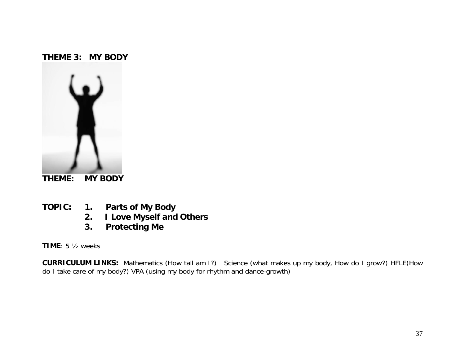# **THEME 3: MY BODY**



- 
- **TOPIC: 1. Parts of My Body** 
	- **2. I Love Myself and Others**
	- **3. Protecting Me**

**TIME**: 5 ½ weeks

**CURRICULUM LINKS:** Mathematics (How tall am I?) Science (what makes up my body, How do I grow?) HFLE(How do I take care of my body?) VPA (using my body for rhythm and dance-growth)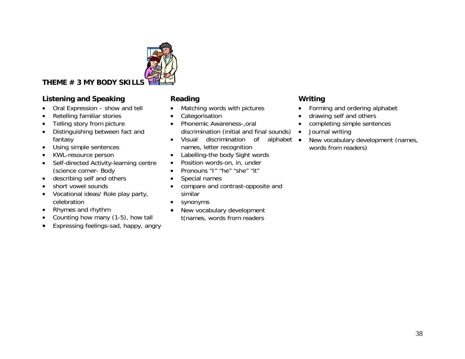

# **THEME # 3 MY BODY SKILLS**

# **Listening and Speaking Community Reading Community Community Community Community Community Community Community**

- Oral Expression show and tell
- •Retelling familiar stories
- •Telling story from picture
- • Distinguishing between fact and fantasy
- $\bullet$ Using simple sentences
- •KWL-resource person
- • Self-directed Activity-learning centre (science corner- Body
- describing self and others
- •short vowel sounds
- Vocational ideas/ Role play party, celebration
- •Rhymes and rhythm
- •Counting how many (1-5), how tall
- •Expressing feelings-sad, happy, angry

- •Matching words with pictures
- •Categorisation
- Phonemic Awareness-,oral discrimination (initial and final sounds)
- Visual discrimination of alphabet •names, letter recognition
- •Labelling-the body Sight words
- •Position words-on, in, under
- •Pronouns "I" "he" "she" "it"
- •Special names
- • compare and contrast-opposite and similar
- •synonyms
- • New vocabulary development t(names, words from readers

- •Forming and ordering alphabet
- •drawing self and others
- $\bullet$ completing simple sentences
- •Journal writing
- New vocabulary development (names, words from readers)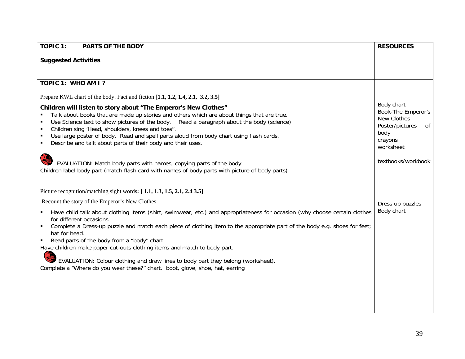| <b>TOPIC 1:</b><br><b>PARTS OF THE BODY</b>                                                                                                                                                                                                                                                                                                                                                                                                                              | <b>RESOURCES</b>                                                                                         |
|--------------------------------------------------------------------------------------------------------------------------------------------------------------------------------------------------------------------------------------------------------------------------------------------------------------------------------------------------------------------------------------------------------------------------------------------------------------------------|----------------------------------------------------------------------------------------------------------|
| <b>Suggested Activities</b>                                                                                                                                                                                                                                                                                                                                                                                                                                              |                                                                                                          |
|                                                                                                                                                                                                                                                                                                                                                                                                                                                                          |                                                                                                          |
| TOPIC 1: WHO AM I?                                                                                                                                                                                                                                                                                                                                                                                                                                                       |                                                                                                          |
| Prepare KWL chart of the body. Fact and fiction [1.1, 1.2, 1.4, 2.1, 3.2, 3.5]                                                                                                                                                                                                                                                                                                                                                                                           |                                                                                                          |
| Children will listen to story about "The Emperor's New Clothes"<br>Talk about books that are made up stories and others which are about things that are true.<br>Use Science text to show pictures of the body. Read a paragraph about the body (science).<br>Children sing 'Head, shoulders, knees and toes".<br>Use large poster of body. Read and spell parts aloud from body chart using flash cards.<br>Describe and talk about parts of their body and their uses. | Body chart<br>Book-The Emperor's<br>New Clothes<br>Poster/pictures<br>of<br>body<br>crayons<br>worksheet |
| EVALUATION: Match body parts with names, copying parts of the body<br>Children label body part (match flash card with names of body parts with picture of body parts)                                                                                                                                                                                                                                                                                                    | textbooks/workbook                                                                                       |
| Picture recognition/matching sight words: [1.1, 1.3, 1.5, 2.1, 2.4 3.5]                                                                                                                                                                                                                                                                                                                                                                                                  |                                                                                                          |
| Recount the story of the Emperor's New Clothes                                                                                                                                                                                                                                                                                                                                                                                                                           | Dress up puzzles                                                                                         |
| Have child talk about clothing items (shirt, swimwear, etc.) and appropriateness for occasion (why choose certain clothes<br>for different occasions.<br>Complete a Dress-up puzzle and match each piece of clothing item to the appropriate part of the body e.g. shoes for feet;<br>hat for head.<br>Read parts of the body from a "body" chart<br>Have children make paper cut-outs clothing items and match to body part.                                            | Body chart                                                                                               |
| EVALUATION: Colour clothing and draw lines to body part they belong (worksheet).<br>Complete a "Where do you wear these?" chart. boot, glove, shoe, hat, earring                                                                                                                                                                                                                                                                                                         |                                                                                                          |
|                                                                                                                                                                                                                                                                                                                                                                                                                                                                          |                                                                                                          |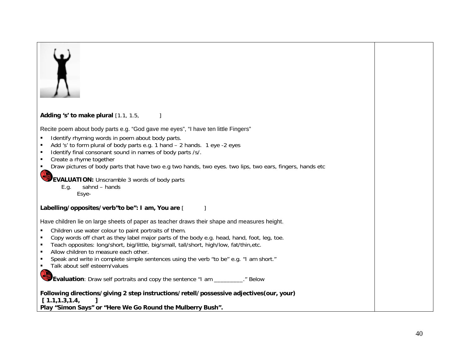| Adding 's' to make plural [1.1, 1.5,<br>Recite poem about body parts e.g. "God gave me eyes", "I have ten little Fingers"<br>Identify rhyming words in poem about body parts.<br>Add 's' to form plural of body parts e.g. 1 hand - 2 hands. 1 eye -2 eyes<br>$\blacksquare$<br>Identify final consonant sound in names of body parts /s/.<br>Create a rhyme together<br>Draw pictures of body parts that have two e.g two hands, two eyes. two lips, two ears, fingers, hands etc<br><b>EVALUATION:</b> Unscramble 3 words of body parts<br>sahnd - hands<br>E.g.<br>Esye-<br>Labelling/opposites/verb"to be": I am, You are [<br>1<br>Have children lie on large sheets of paper as teacher draws their shape and measures height.<br>Children use water colour to paint portraits of them.<br>٠<br>Copy words off chart as they label major parts of the body e.g. head, hand, foot, leg, toe.<br>Teach opposites: long/short, big/little, big/small, tall/short, high/low, fat/thin,etc.<br>Allow children to measure each other.<br>Speak and write in complete simple sentences using the verb "to be" e.g. "I am short."<br>Talk about self esteem/values<br>Evaluation: Draw self portraits and copy the sentence "I am __________." Below |                                                            |  |
|----------------------------------------------------------------------------------------------------------------------------------------------------------------------------------------------------------------------------------------------------------------------------------------------------------------------------------------------------------------------------------------------------------------------------------------------------------------------------------------------------------------------------------------------------------------------------------------------------------------------------------------------------------------------------------------------------------------------------------------------------------------------------------------------------------------------------------------------------------------------------------------------------------------------------------------------------------------------------------------------------------------------------------------------------------------------------------------------------------------------------------------------------------------------------------------------------------------------------------------------------|------------------------------------------------------------|--|
|                                                                                                                                                                                                                                                                                                                                                                                                                                                                                                                                                                                                                                                                                                                                                                                                                                                                                                                                                                                                                                                                                                                                                                                                                                                    |                                                            |  |
|                                                                                                                                                                                                                                                                                                                                                                                                                                                                                                                                                                                                                                                                                                                                                                                                                                                                                                                                                                                                                                                                                                                                                                                                                                                    |                                                            |  |
|                                                                                                                                                                                                                                                                                                                                                                                                                                                                                                                                                                                                                                                                                                                                                                                                                                                                                                                                                                                                                                                                                                                                                                                                                                                    |                                                            |  |
|                                                                                                                                                                                                                                                                                                                                                                                                                                                                                                                                                                                                                                                                                                                                                                                                                                                                                                                                                                                                                                                                                                                                                                                                                                                    |                                                            |  |
|                                                                                                                                                                                                                                                                                                                                                                                                                                                                                                                                                                                                                                                                                                                                                                                                                                                                                                                                                                                                                                                                                                                                                                                                                                                    |                                                            |  |
|                                                                                                                                                                                                                                                                                                                                                                                                                                                                                                                                                                                                                                                                                                                                                                                                                                                                                                                                                                                                                                                                                                                                                                                                                                                    |                                                            |  |
|                                                                                                                                                                                                                                                                                                                                                                                                                                                                                                                                                                                                                                                                                                                                                                                                                                                                                                                                                                                                                                                                                                                                                                                                                                                    |                                                            |  |
|                                                                                                                                                                                                                                                                                                                                                                                                                                                                                                                                                                                                                                                                                                                                                                                                                                                                                                                                                                                                                                                                                                                                                                                                                                                    |                                                            |  |
|                                                                                                                                                                                                                                                                                                                                                                                                                                                                                                                                                                                                                                                                                                                                                                                                                                                                                                                                                                                                                                                                                                                                                                                                                                                    |                                                            |  |
|                                                                                                                                                                                                                                                                                                                                                                                                                                                                                                                                                                                                                                                                                                                                                                                                                                                                                                                                                                                                                                                                                                                                                                                                                                                    |                                                            |  |
|                                                                                                                                                                                                                                                                                                                                                                                                                                                                                                                                                                                                                                                                                                                                                                                                                                                                                                                                                                                                                                                                                                                                                                                                                                                    |                                                            |  |
|                                                                                                                                                                                                                                                                                                                                                                                                                                                                                                                                                                                                                                                                                                                                                                                                                                                                                                                                                                                                                                                                                                                                                                                                                                                    |                                                            |  |
|                                                                                                                                                                                                                                                                                                                                                                                                                                                                                                                                                                                                                                                                                                                                                                                                                                                                                                                                                                                                                                                                                                                                                                                                                                                    |                                                            |  |
|                                                                                                                                                                                                                                                                                                                                                                                                                                                                                                                                                                                                                                                                                                                                                                                                                                                                                                                                                                                                                                                                                                                                                                                                                                                    |                                                            |  |
|                                                                                                                                                                                                                                                                                                                                                                                                                                                                                                                                                                                                                                                                                                                                                                                                                                                                                                                                                                                                                                                                                                                                                                                                                                                    |                                                            |  |
|                                                                                                                                                                                                                                                                                                                                                                                                                                                                                                                                                                                                                                                                                                                                                                                                                                                                                                                                                                                                                                                                                                                                                                                                                                                    |                                                            |  |
|                                                                                                                                                                                                                                                                                                                                                                                                                                                                                                                                                                                                                                                                                                                                                                                                                                                                                                                                                                                                                                                                                                                                                                                                                                                    |                                                            |  |
|                                                                                                                                                                                                                                                                                                                                                                                                                                                                                                                                                                                                                                                                                                                                                                                                                                                                                                                                                                                                                                                                                                                                                                                                                                                    |                                                            |  |
|                                                                                                                                                                                                                                                                                                                                                                                                                                                                                                                                                                                                                                                                                                                                                                                                                                                                                                                                                                                                                                                                                                                                                                                                                                                    |                                                            |  |
|                                                                                                                                                                                                                                                                                                                                                                                                                                                                                                                                                                                                                                                                                                                                                                                                                                                                                                                                                                                                                                                                                                                                                                                                                                                    |                                                            |  |
|                                                                                                                                                                                                                                                                                                                                                                                                                                                                                                                                                                                                                                                                                                                                                                                                                                                                                                                                                                                                                                                                                                                                                                                                                                                    |                                                            |  |
|                                                                                                                                                                                                                                                                                                                                                                                                                                                                                                                                                                                                                                                                                                                                                                                                                                                                                                                                                                                                                                                                                                                                                                                                                                                    | [1.1, 1.3, 1.4,                                            |  |
|                                                                                                                                                                                                                                                                                                                                                                                                                                                                                                                                                                                                                                                                                                                                                                                                                                                                                                                                                                                                                                                                                                                                                                                                                                                    | Play "Simon Says" or "Here We Go Round the Mulberry Bush". |  |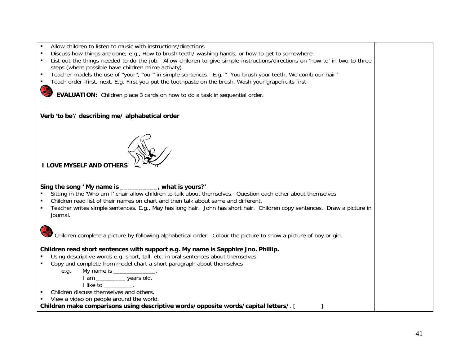- $\blacksquare$ Allow children to listen to music with instructions/directions.
- П Discuss how things are done; e.g., How to brush teeth/ washing hands, or how to get to somewhere.
- П List out the things needed to do the job. Allow children to give simple instructions/directions on 'how to' in two to three steps (where possible have children mime activity).
- $\blacksquare$ Teacher models the use of "your", "our" in simple sentences. E.g. " You brush your teeth, We comb our hair"
- П Teach order -first, next. E.g. First you put the toothpaste on the brush. Wash your grapefruits first

**EVALUATION:** Children place 3 cards on how to do a task in sequential order.

## **Verb 'to be'/ describing me/ alphabetical order**



 **I LOVE MYSELF AND OTHERS**

## **Sing the song ' My name is \_\_\_\_\_\_\_\_\_\_, what is yours?'**

- $\blacksquare$ Sitting in the 'Who am I' chair allow children to talk about themselves. Question each other about themselves
- П Children read list of their names on chart and then talk about same and different.
- $\blacksquare$  Teacher writes simple sentences. E.g., May has long hair. John has short hair. Children copy sentences. Draw a picture in journal.



Children complete a picture by following alphabetical order. Colour the picture to show a picture of boy or girl.

## **Children read short sentences with support e.g. My name is Sapphire Jno. Phillip.**

- $\blacksquare$ Using descriptive words e.g. short, tall, etc. in oral sentences about themselves.
- П Copy and complete from model chart a short paragraph about themselves
	- e.g. My name is \_\_\_\_\_\_\_\_ I am \_\_\_\_\_\_\_\_\_\_\_ years old.

I like to \_\_\_\_\_\_\_\_\_.

- П Children discuss themselves and others.
- П View a video on people around the world.

**Children make comparisons using descriptive words/opposite words/capital letters/**. [ ]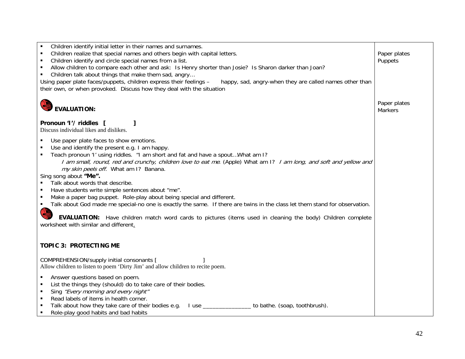| Children identify initial letter in their names and surnames.<br>Children realize that special names and others begin with capital letters.<br>Children identify and circle special names from a list.<br>Allow children to compare each other and ask: Is Henry shorter than Josie? Is Sharon darker than Joan?<br>Children talk about things that make them sad, angry<br>$\blacksquare$<br>Using paper plate faces/puppets, children express their feelings -<br>happy, sad, angry-when they are called names other than<br>their own, or when provoked. Discuss how they deal with the situation                                                                                                                                                                                                                                         | Paper plates<br>Puppets        |
|----------------------------------------------------------------------------------------------------------------------------------------------------------------------------------------------------------------------------------------------------------------------------------------------------------------------------------------------------------------------------------------------------------------------------------------------------------------------------------------------------------------------------------------------------------------------------------------------------------------------------------------------------------------------------------------------------------------------------------------------------------------------------------------------------------------------------------------------|--------------------------------|
| <b>EVALUATION:</b>                                                                                                                                                                                                                                                                                                                                                                                                                                                                                                                                                                                                                                                                                                                                                                                                                           | Paper plates<br><b>Markers</b> |
| Pronoun 'I'/ riddles [<br>Discuss individual likes and dislikes.                                                                                                                                                                                                                                                                                                                                                                                                                                                                                                                                                                                                                                                                                                                                                                             |                                |
| Use paper plate faces to show emotions.<br>Use and identify the present e.g. I am happy.<br>Teach pronoun 'I' using riddles. "I am short and fat and have a spout What am I?<br>I am small, round, red and crunchy, children love to eat me. (Apple) What am 1? I am long, and soft and yellow and<br>my skin peels off. What am I? Banana.<br>Sing song about "Me".<br>Talk about words that describe.<br>Have students write simple sentences about "me".<br>Make a paper bag puppet. Role-play about being special and different.<br>Talk about God made me special-no one is exactly the same. If there are twins in the class let them stand for observation.<br>٠<br><b>COR</b><br>EVALUATION: Have children match word cards to pictures (items used in cleaning the body) Children complete<br>worksheet with similar and different. |                                |
| <b>TOPIC 3: PROTECTING ME</b>                                                                                                                                                                                                                                                                                                                                                                                                                                                                                                                                                                                                                                                                                                                                                                                                                |                                |
| COMPREHENSION/supply initial consonants [<br>Allow children to listen to poem 'Dirty Jim' and allow children to recite poem.                                                                                                                                                                                                                                                                                                                                                                                                                                                                                                                                                                                                                                                                                                                 |                                |
| Answer questions based on poem.<br>List the things they (should) do to take care of their bodies.<br>$\blacksquare$<br>Sing "Every morning and every night"<br>Read labels of items in health corner.<br>$\blacksquare$<br>Talk about how they take care of their bodies e.g. I use _______________ to bathe. (soap, toothbrush).<br>٠<br>Role-play good habits and bad habits<br>$\blacksquare$                                                                                                                                                                                                                                                                                                                                                                                                                                             |                                |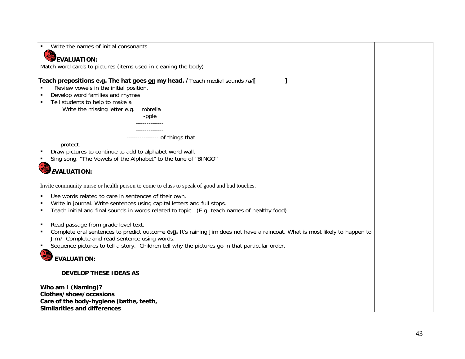| Write the names of initial consonants                                                                                                                                       |  |
|-----------------------------------------------------------------------------------------------------------------------------------------------------------------------------|--|
| <b>EVALUATION:</b>                                                                                                                                                          |  |
| Match word cards to pictures (items used in cleaning the body)                                                                                                              |  |
|                                                                                                                                                                             |  |
| Teach prepositions e.g. The hat goes on my head. / Teach medial sounds /a/[<br>Review vowels in the initial position.                                                       |  |
| Develop word families and rhymes<br>Tell students to help to make a                                                                                                         |  |
| Write the missing letter e.g. $\_$ mbrella                                                                                                                                  |  |
| -pple                                                                                                                                                                       |  |
| _____________                                                                                                                                                               |  |
| --------------- of things that                                                                                                                                              |  |
| protect.                                                                                                                                                                    |  |
| Draw pictures to continue to add to alphabet word wall.                                                                                                                     |  |
| Sing song, "The Vowels of the Alphabet" to the tune of "BINGO"                                                                                                              |  |
| <b>EVALUATION:</b>                                                                                                                                                          |  |
| Invite community nurse or health person to come to class to speak of good and bad touches.                                                                                  |  |
| Use words related to care in sentences of their own.                                                                                                                        |  |
| Write in journal. Write sentences using capital letters and full stops.                                                                                                     |  |
| Teach initial and final sounds in words related to topic. (E.g. teach names of healthy food)<br>п                                                                           |  |
| Read passage from grade level text.<br>٠                                                                                                                                    |  |
| Complete oral sentences to predict outcome e.g. It's raining Jim does not have a raincoat. What is most likely to happen to<br>Jim? Complete and read sentence using words. |  |
| Sequence pictures to tell a story. Children tell why the pictures go in that particular order.                                                                              |  |
| <b>EVALUATION:</b>                                                                                                                                                          |  |
|                                                                                                                                                                             |  |
| <b>DEVELOP THESE IDEAS AS</b>                                                                                                                                               |  |
| Who am I (Naming)?                                                                                                                                                          |  |
| Clothes/shoes/occasions                                                                                                                                                     |  |
| Care of the body-hygiene (bathe, teeth,                                                                                                                                     |  |
| <b>Similarities and differences</b>                                                                                                                                         |  |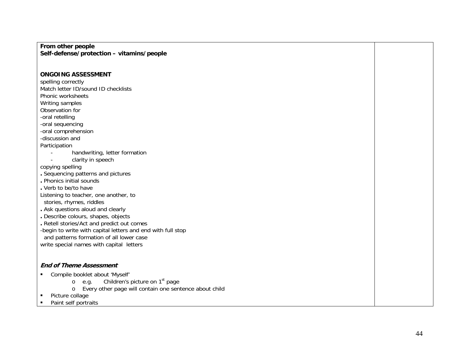## **From other people Self-defense/protection – vitamins/people**

## **ONGOING ASSESSMENT**

spelling correctly Match letter ID/sound ID checklists Phonic worksheets Writing samples Observation for -oral retelling -oral sequencing -oral comprehension

-discussion and Participation

- handwriting, letter formation
- clarity in speech

copying spelling

- **.** Sequencing patterns and pictures
- **.** Phonics initial sounds
- **.** Verb to be/to have
- Listening to teacher, one another, to

stories, rhymes, riddles

- **.** Ask questions aloud and clearly
- **.** Describe colours, shapes, objects
- **.** Retell stories/Act and predict out comes
- -begin to write with capital letters and end with full stop
- and patterns formation of all lower case

write special names with capital letters

## **End of Theme Assessment**

- Compile booklet about 'Myself'
	- $o$  e.g. Children's picture on 1<sup>st</sup> page
	- o Every other page will contain one sentence about child
- $\blacksquare$ Picture collage
- $\blacksquare$ Paint self portraits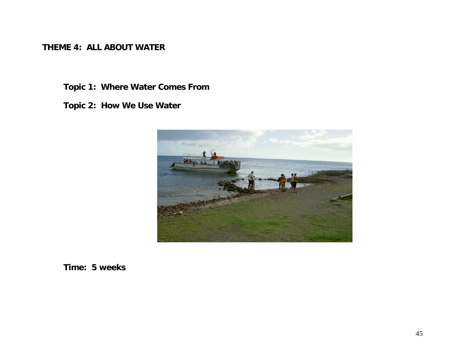**THEME 4: ALL ABOUT WATER** 

**Topic 1: Where Water Comes From** 

**Topic 2: How We Use Water** 



**Time: 5 weeks**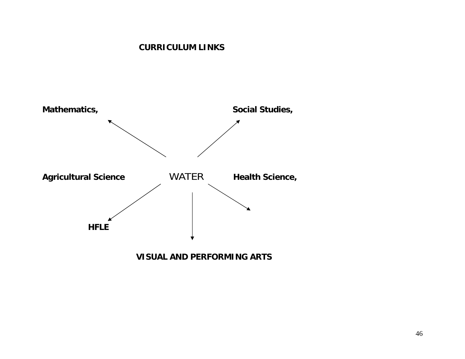# **CURRICULUM LINKS**

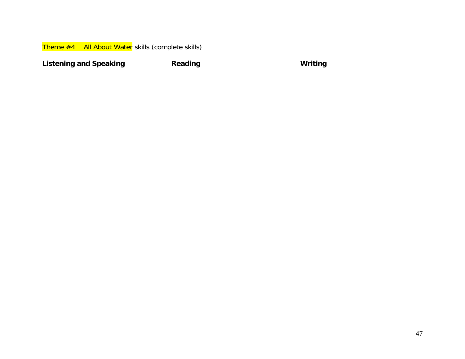Theme #4 All About Water skills (complete skills)

**Listening and Speaking Community Reading Community Community Community Community Community Community Community**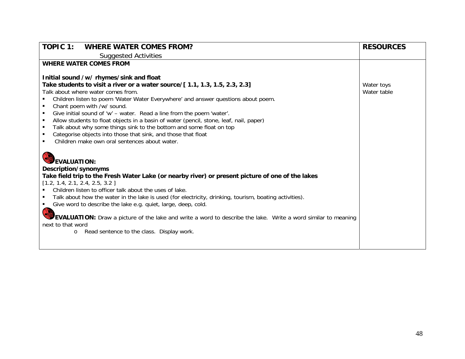| <b>TOPIC 1:</b><br><b>WHERE WATER COMES FROM?</b>                                                                                                                                                                                                                                                                                                                                                                                                                                                                                                                                                                                                                                                     | <b>RESOURCES</b>          |
|-------------------------------------------------------------------------------------------------------------------------------------------------------------------------------------------------------------------------------------------------------------------------------------------------------------------------------------------------------------------------------------------------------------------------------------------------------------------------------------------------------------------------------------------------------------------------------------------------------------------------------------------------------------------------------------------------------|---------------------------|
| <b>Suggested Activities</b>                                                                                                                                                                                                                                                                                                                                                                                                                                                                                                                                                                                                                                                                           |                           |
| <b>WHERE WATER COMES FROM</b>                                                                                                                                                                                                                                                                                                                                                                                                                                                                                                                                                                                                                                                                         |                           |
| Initial sound /w/ rhymes/sink and float<br>Take students to visit a river or a water source/[1.1, 1.3, 1.5, 2.3, 2.3]<br>Talk about where water comes from.<br>Children listen to poem 'Water Water Everywhere' and answer questions about poem.<br>Chant poem with /w/ sound.<br>$\blacksquare$<br>Give initial sound of 'w' - water. Read a line from the poem 'water'.<br>Allow students to float objects in a basin of water (pencil, stone, leaf, nail, paper)<br>$\blacksquare$<br>Talk about why some things sink to the bottom and some float on top<br>٠<br>Categorise objects into those that sink, and those that float<br>$\blacksquare$<br>Children make own oral sentences about water. | Water toys<br>Water table |
| <b>EVALUATION:</b><br>Description/synonyms<br>Take field trip to the Fresh Water Lake (or nearby river) or present picture of one of the lakes<br>[1.2, 1.4, 2.1, 2.4, 2.5, 3.2]<br>Children listen to officer talk about the uses of lake.<br>Talk about how the water in the lake is used (for electricity, drinking, tourism, boating activities).<br>Give word to describe the lake e.g. quiet, large, deep, cold.<br>EVALUATION: Draw a picture of the lake and write a word to describe the lake. Write a word similar to meaning<br>next to that word<br>Read sentence to the class. Display work.<br>$\circ$                                                                                  |                           |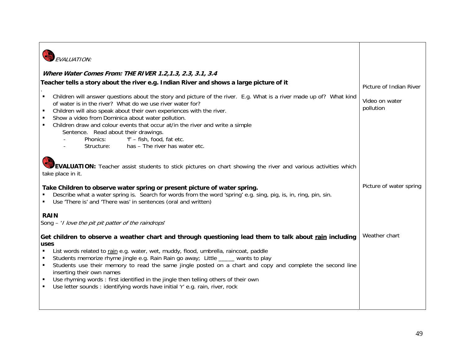| FVAI UATION:                                                                                                                                                                                                                                                                                                                                                                                                                                                                                                                          |                             |
|---------------------------------------------------------------------------------------------------------------------------------------------------------------------------------------------------------------------------------------------------------------------------------------------------------------------------------------------------------------------------------------------------------------------------------------------------------------------------------------------------------------------------------------|-----------------------------|
| Where Water Comes From: THE RIVER 1.2, 1.3, 2.3, 3.1, 3.4                                                                                                                                                                                                                                                                                                                                                                                                                                                                             |                             |
| Teacher tells a story about the river e.g. Indian River and shows a large picture of it                                                                                                                                                                                                                                                                                                                                                                                                                                               | Picture of Indian River     |
| Children will answer questions about the story and picture of the river. E.g. What is a river made up of? What kind<br>٠<br>of water is in the river? What do we use river water for?<br>Children will also speak about their own experiences with the river.<br>Show a video from Dominica about water pollution.<br>Children draw and colour events that occur at/in the river and write a simple<br>Sentence. Read about their drawings.<br>'f' - fish, food, fat etc.<br>Phonics:<br>has - The river has water etc.<br>Structure: | Video on water<br>pollution |
| <b>EVALUATION:</b> Teacher assist students to stick pictures on chart showing the river and various activities which<br>take place in it.                                                                                                                                                                                                                                                                                                                                                                                             |                             |
| Take Children to observe water spring or present picture of water spring.<br>Describe what a water spring is. Search for words from the word 'spring' e.g. sing, pig, is, in, ring, pin, sin.<br>Use 'There is' and 'There was' in sentences (oral and written)                                                                                                                                                                                                                                                                       | Picture of water spring     |
| <b>RAIN</b>                                                                                                                                                                                                                                                                                                                                                                                                                                                                                                                           |                             |
| Song $-$ ' <i>I love the pit pit patter of the raindrops'</i>                                                                                                                                                                                                                                                                                                                                                                                                                                                                         |                             |
| Get children to observe a weather chart and through questioning lead them to talk about rain including<br>uses                                                                                                                                                                                                                                                                                                                                                                                                                        | Weather chart               |
| List words related to rain e.g. water, wet, muddy, flood, umbrella, raincoat, paddle<br>Students memorize rhyme jingle e.g. Rain Rain go away; Little ____ wants to play<br>Students use their memory to read the same jingle posted on a chart and copy and complete the second line<br>$\blacksquare$<br>inserting their own names<br>Use rhyming words: first identified in the jingle then telling others of their own<br>$\blacksquare$<br>Use letter sounds : identifying words have initial 'r' e.g. rain, river, rock         |                             |
|                                                                                                                                                                                                                                                                                                                                                                                                                                                                                                                                       |                             |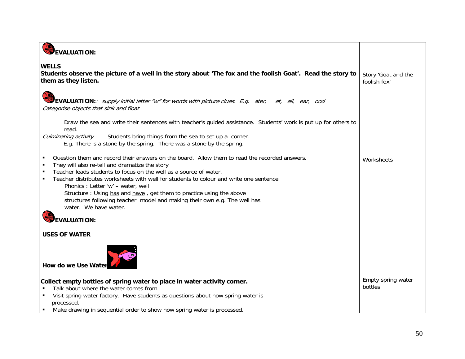| EVALUATION:                                                                                                                                                                                                                                                                                                                                                                                                                                                                                                                                          |                                     |
|------------------------------------------------------------------------------------------------------------------------------------------------------------------------------------------------------------------------------------------------------------------------------------------------------------------------------------------------------------------------------------------------------------------------------------------------------------------------------------------------------------------------------------------------------|-------------------------------------|
| <b>WELLS</b><br>Students observe the picture of a well in the story about 'The fox and the foolish Goat'. Read the story to<br>them as they listen.                                                                                                                                                                                                                                                                                                                                                                                                  | Story 'Goat and the<br>foolish fox' |
| EVALUATION: <i>supply initial letter "w" for words with picture clues. E.g.</i> _ater, _et, _ell, _ear, _ood<br>Categorise objects that sink and float                                                                                                                                                                                                                                                                                                                                                                                               |                                     |
| Draw the sea and write their sentences with teacher's guided assistance. Students' work is put up for others to<br>read.<br>Culminating activity.<br>Students bring things from the sea to set up a corner.<br>E.g. There is a stone by the spring. There was a stone by the spring.                                                                                                                                                                                                                                                                 |                                     |
| Question them and record their answers on the board. Allow them to read the recorded answers.<br>They will also re-tell and dramatize the story<br>$\blacksquare$<br>Teacher leads students to focus on the well as a source of water.<br>Teacher distributes worksheets with well for students to colour and write one sentence.<br>Phonics: Letter 'w' - water, well<br>Structure : Using has and have, get them to practice using the above<br>structures following teacher model and making their own e.g. The well has<br>water. We have water. | Worksheets                          |
| <b>EVALUATION:</b><br><b>USES OF WATER</b>                                                                                                                                                                                                                                                                                                                                                                                                                                                                                                           |                                     |
| How do we Use Water                                                                                                                                                                                                                                                                                                                                                                                                                                                                                                                                  |                                     |
| Collect empty bottles of spring water to place in water activity corner.<br>Talk about where the water comes from.<br>Visit spring water factory. Have students as questions about how spring water is<br>processed.<br>Make drawing in sequential order to show how spring water is processed.<br>$\blacksquare$                                                                                                                                                                                                                                    | Empty spring water<br>bottles       |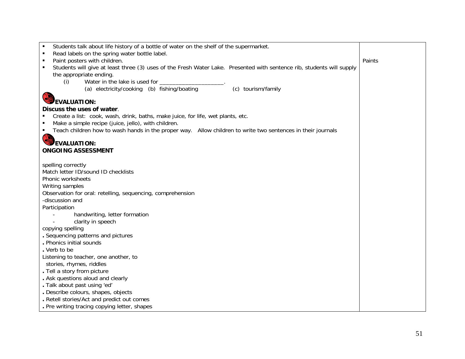| Students talk about life history of a bottle of water on the shelf of the supermarket.                                                 |        |
|----------------------------------------------------------------------------------------------------------------------------------------|--------|
| Read labels on the spring water bottle label.                                                                                          |        |
| Paint posters with children.<br>٠                                                                                                      | Paints |
| Students will give at least three (3) uses of the Fresh Water Lake. Presented with sentence rib, students will supply                  |        |
| the appropriate ending.                                                                                                                |        |
| Water in the lake is used for<br>(i)                                                                                                   |        |
| (a) electricity/cooking (b) fishing/boating<br>(c) tourism/family                                                                      |        |
| EVALUATION:                                                                                                                            |        |
| Discuss the uses of water.                                                                                                             |        |
|                                                                                                                                        |        |
| Create a list: cook, wash, drink, baths, make juice, for life, wet plants, etc.<br>Make a simple recipe (juice, jello), with children. |        |
| Teach children how to wash hands in the proper way. Allow children to write two sentences in their journals                            |        |
|                                                                                                                                        |        |
| EVALUATION:                                                                                                                            |        |
| <b>ONGOING ASSESSMENT</b>                                                                                                              |        |
|                                                                                                                                        |        |
| spelling correctly                                                                                                                     |        |
| Match letter ID/sound ID checklists                                                                                                    |        |
| Phonic worksheets                                                                                                                      |        |
| Writing samples                                                                                                                        |        |
| Observation for oral: retelling, sequencing, comprehension                                                                             |        |
| -discussion and                                                                                                                        |        |
| Participation                                                                                                                          |        |
| handwriting, letter formation                                                                                                          |        |
| clarity in speech                                                                                                                      |        |
| copying spelling                                                                                                                       |        |
| . Sequencing patterns and pictures                                                                                                     |        |
| . Phonics initial sounds                                                                                                               |        |
| . Verb to be                                                                                                                           |        |
| Listening to teacher, one another, to                                                                                                  |        |
| stories, rhymes, riddles                                                                                                               |        |
| . Tell a story from picture                                                                                                            |        |
| . Ask questions aloud and clearly                                                                                                      |        |
| . Talk about past using 'ed'                                                                                                           |        |
| . Describe colours, shapes, objects                                                                                                    |        |
| . Retell stories/Act and predict out comes                                                                                             |        |
| . Pre writing tracing copying letter, shapes                                                                                           |        |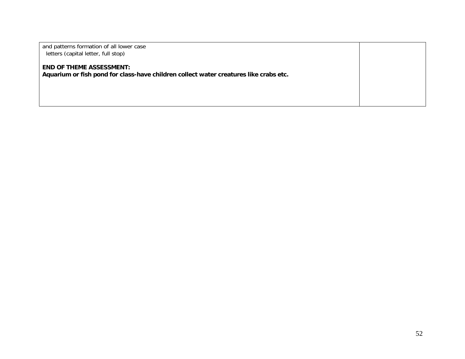| and patterns formation of all lower case<br>letters (capital letter, full stop)                                          |  |
|--------------------------------------------------------------------------------------------------------------------------|--|
| <b>END OF THEME ASSESSMENT:</b><br>Aquarium or fish pond for class-have children collect water creatures like crabs etc. |  |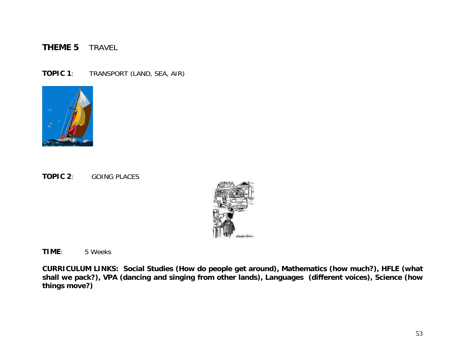### **THEME 5** TRAVEL

**TOPIC 1**: TRANSPORT (LAND, SEA, AIR)



**TOPIC 2**: GOING PLACES



**TIME**: 5 Weeks

**CURRICULUM LINKS: Social Studies (How do people get around), Mathematics (how much?), HFLE (what shall we pack?), VPA (dancing and singing from other lands), Languages (different voices), Science (how things move?)**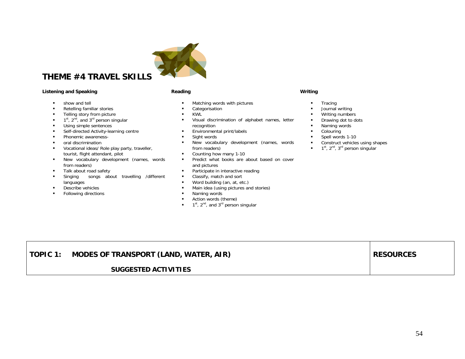

# **THEME #4 TRAVEL SKILLS**

### **Listening and Speaking Community Community Reading Community Community Community Community Community Community**

- $\blacksquare$ show and tell
- $\blacksquare$ Retelling familiar stories
- $\blacksquare$ Telling story from picture
- $\blacksquare$  $1<sup>st</sup>$ ,  $2<sup>nd</sup>$ , and  $3<sup>rd</sup>$  person singular
- $\blacksquare$ Using simple sentences
- $\blacksquare$ Self-directed Activity-learning centre
- $\blacksquare$ Phonemic awareness-
- $\blacksquare$ oral discrimination
- $\blacksquare$  Vocational ideas/ Role play party, traveller, tourist, flight attendant, pilot
- $\mathbf{u}$  . New vocabulary development (names, words from readers)
- $\blacksquare$ Talk about road safety
- $\blacksquare$  Singing songs about travelling /different languages
- $\blacksquare$ Describe vehicles
- $\blacksquare$ Following directions

- $\mathbf{r}$ Matching words with pictures
- $\blacksquare$ Categorisation
- $\mathbf{r}$  . KWL
- $\blacksquare$  Visual discrimination of alphabet names, letter recognition
- $\mathbf{r}$ Environmental print/labels
- $\blacksquare$ Sight words
- ٠ New vocabulary development (names, words from readers)
- $\blacksquare$ Counting how many 1-10
- $\mathbf{r}$  Predict what books are about based on cover and pictures
- $\mathbf{r}$ Participate in interactive reading
- $\mathbf{u}$  . Classify, match and sort
- $\blacksquare$ Word building (an, at, etc.)
- $\blacksquare$ Main idea (using pictures and stories)
- $\mathbf{r}$ Naming words
- $\mathbf{r}$ Action words (theme)
- $\blacksquare$  1<sup>st</sup>, 2<sup>nd</sup>, and 3<sup>rd</sup> person singular

- п **Tracing**
- п Journal writing
- $\blacksquare$ Writing numbers
- $\blacksquare$ Drawing dot to dots
- $\blacksquare$ Naming words
- $\mathbf{r}$ Colouring
- $\mathbf{r}$  . Spell words 1-10
- п Construct vehicles using shapes
- $\blacksquare$  $1<sup>st</sup>$ ,  $2<sup>nd</sup>$ ,  $3<sup>rd</sup>$  person singular

| TOPIC 1: | MODES OF TRANSPORT (LAND, WATER, AIR) | <b>RESOURCES</b> |
|----------|---------------------------------------|------------------|
|          | <b>SUGGESTED ACTIVITIES</b>           |                  |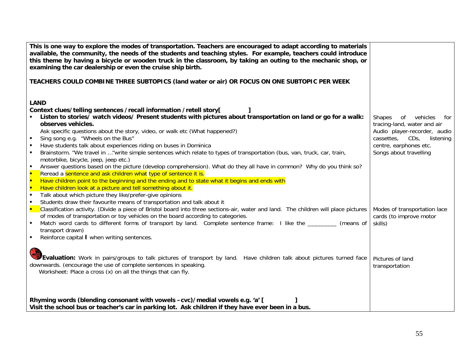| This is one way to explore the modes of transportation. Teachers are encouraged to adapt according to materials<br>available, the community, the needs of the students and teaching styles. For example, teachers could introduce<br>this theme by having a bicycle or wooden truck in the classroom, by taking an outing to the mechanic shop, or<br>examining the car dealership or even the cruise ship birth. |                                                         |
|-------------------------------------------------------------------------------------------------------------------------------------------------------------------------------------------------------------------------------------------------------------------------------------------------------------------------------------------------------------------------------------------------------------------|---------------------------------------------------------|
| TEACHERS COULD COMBINE THREE SUBTOPICS (land water or air) OR FOCUS ON ONE SUBTOPIC PER WEEK                                                                                                                                                                                                                                                                                                                      |                                                         |
| <b>LAND</b>                                                                                                                                                                                                                                                                                                                                                                                                       |                                                         |
| Context clues/telling sentences /recall information /retell story[                                                                                                                                                                                                                                                                                                                                                |                                                         |
| Listen to stories/ watch videos/ Present students with pictures about transportation on land or go for a walk:                                                                                                                                                                                                                                                                                                    | vehicles<br><b>Shapes</b><br>of<br>for                  |
| observes vehicles.                                                                                                                                                                                                                                                                                                                                                                                                | tracing-land, water and air                             |
| Ask specific questions about the story, video, or walk etc (What happened?)                                                                                                                                                                                                                                                                                                                                       | Audio player-recorder, audio                            |
| Sing song e.g. "Wheels on the Bus"<br>$\blacksquare$                                                                                                                                                                                                                                                                                                                                                              | cassettes,<br>$CDS$ ,<br>listening                      |
| Have students talk about experiences riding on buses in Dominica<br>$\blacksquare$                                                                                                                                                                                                                                                                                                                                | centre, earphones etc.                                  |
| Brainstorm. "We travel in "write simple sentences which relate to types of transportation (bus, van, truck, car, train,<br>$\blacksquare$                                                                                                                                                                                                                                                                         | Songs about travelling                                  |
| motorbike, bicycle, jeep, jeep etc.)                                                                                                                                                                                                                                                                                                                                                                              |                                                         |
| Answer questions based on the picture (develop comprehension). What do they all have in common? Why do you think so?<br>$\blacksquare$                                                                                                                                                                                                                                                                            |                                                         |
| <b>F</b><br>Reread a sentence and ask children what type of sentence it is.                                                                                                                                                                                                                                                                                                                                       |                                                         |
| Have children point to the beginning and the ending and to state what it begins and ends with<br>×                                                                                                                                                                                                                                                                                                                |                                                         |
| Have children look at a picture and tell something about it.<br>×                                                                                                                                                                                                                                                                                                                                                 |                                                         |
| Talk about which picture they like/prefer-give opinions<br>$\blacksquare$                                                                                                                                                                                                                                                                                                                                         |                                                         |
| Students draw their favourite means of transportation and talk about it<br>٠<br>Classification activity. (Divide a piece of Bristol board into three sections-air, water and land. The children will place pictures                                                                                                                                                                                               |                                                         |
| $\blacksquare$<br>of modes of transportation or toy vehicles on the board according to categories.                                                                                                                                                                                                                                                                                                                | Modes of transportation lace<br>cards (to improve motor |
| Match word cards to different forms of transport by land. Complete sentence frame: I like the<br>(means of                                                                                                                                                                                                                                                                                                        | skills)                                                 |
| transport drawn)                                                                                                                                                                                                                                                                                                                                                                                                  |                                                         |
| Reinforce capital I when writing sentences.<br>٠                                                                                                                                                                                                                                                                                                                                                                  |                                                         |
|                                                                                                                                                                                                                                                                                                                                                                                                                   |                                                         |
|                                                                                                                                                                                                                                                                                                                                                                                                                   |                                                         |
| <b>Evaluation:</b> Work in pairs/groups to talk pictures of transport by land. Have children talk about pictures turned face                                                                                                                                                                                                                                                                                      | Pictures of land                                        |
| downwards. (encourage the use of complete sentences in speaking.                                                                                                                                                                                                                                                                                                                                                  | transportation                                          |
| Worksheet: Place a cross (x) on all the things that can fly.                                                                                                                                                                                                                                                                                                                                                      |                                                         |
|                                                                                                                                                                                                                                                                                                                                                                                                                   |                                                         |
|                                                                                                                                                                                                                                                                                                                                                                                                                   |                                                         |
|                                                                                                                                                                                                                                                                                                                                                                                                                   |                                                         |
| Rhyming words (blending consonant with vowels -cvc)/medial vowels e.g. 'a' [                                                                                                                                                                                                                                                                                                                                      |                                                         |
| Visit the school bus or teacher's car in parking lot. Ask children if they have ever been in a bus.                                                                                                                                                                                                                                                                                                               |                                                         |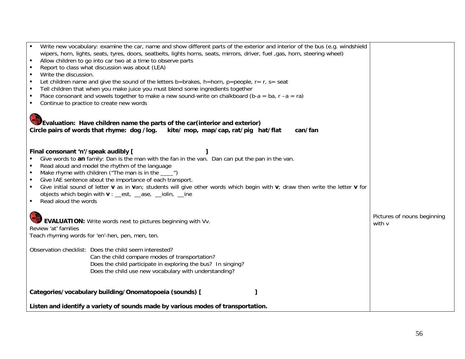| Write new vocabulary: examine the car, name and show different parts of the exterior and interior of the bus (e.g. windshield<br>wipers, horn, lights, seats, tyres, doors, seatbelts, lights horns, seats, mirrors, driver, fuel ,gas, horn, steering wheel)<br>Allow children to go into car two at a time to observe parts<br>$\blacksquare$<br>Report to class what discussion was about (LEA)<br>$\blacksquare$<br>Write the discussion.<br>$\blacksquare$<br>Let children name and give the sound of the letters b=brakes, h=horn, p=people, $r = r$ , s= seat<br>$\blacksquare$<br>Tell children that when you make juice you must blend some ingredients together<br>$\blacksquare$<br>Place consonant and vowels together to make a new sound-write on chalkboard (b-a = ba, r -a = ra)<br>$\blacksquare$<br>Continue to practice to create new words<br>Evaluation: Have children name the parts of the car (interior and exterior)<br>Circle pairs of words that rhyme: dog /log.<br>kite/ mop, map/cap, rat/pig hat/flat<br>can/fan |                                       |
|-------------------------------------------------------------------------------------------------------------------------------------------------------------------------------------------------------------------------------------------------------------------------------------------------------------------------------------------------------------------------------------------------------------------------------------------------------------------------------------------------------------------------------------------------------------------------------------------------------------------------------------------------------------------------------------------------------------------------------------------------------------------------------------------------------------------------------------------------------------------------------------------------------------------------------------------------------------------------------------------------------------------------------------------------|---------------------------------------|
| Final consonant 'n'/speak audibly [<br>Give words to an family: Dan is the man with the fan in the van. Dan can put the pan in the van.<br>Read aloud and model the rhythm of the language<br>$\blacksquare$<br>Make rhyme with children ("The man is in the ____")<br>$\blacksquare$<br>Give IAE sentence about the importance of each transport.<br>$\blacksquare$<br>Give initial sound of letter v as in van; students will give other words which begin with v; draw then write the letter v for<br>$\blacksquare$<br>objects which begin with $\mathbf{v}$ : est, ase, jolin, jne<br>Read aloud the words<br>$\blacksquare$                                                                                                                                                                                                                                                                                                                                                                                                               |                                       |
| <b>EVALUATION:</b> Write words next to pictures beginning with Vv.<br>Review 'at' families<br>Teach rhyming words for 'en'-hen, pen, men, ten.                                                                                                                                                                                                                                                                                                                                                                                                                                                                                                                                                                                                                                                                                                                                                                                                                                                                                                  | Pictures of nouns beginning<br>with v |
| Observation checklist: Does the child seem interested?<br>Can the child compare modes of transportation?<br>Does the child participate in exploring the bus? In singing?<br>Does the child use new vocabulary with understanding?                                                                                                                                                                                                                                                                                                                                                                                                                                                                                                                                                                                                                                                                                                                                                                                                               |                                       |
| Categories/vocabulary building/Onomatopoeia (sounds) [                                                                                                                                                                                                                                                                                                                                                                                                                                                                                                                                                                                                                                                                                                                                                                                                                                                                                                                                                                                          |                                       |
| Listen and identify a variety of sounds made by various modes of transportation.                                                                                                                                                                                                                                                                                                                                                                                                                                                                                                                                                                                                                                                                                                                                                                                                                                                                                                                                                                |                                       |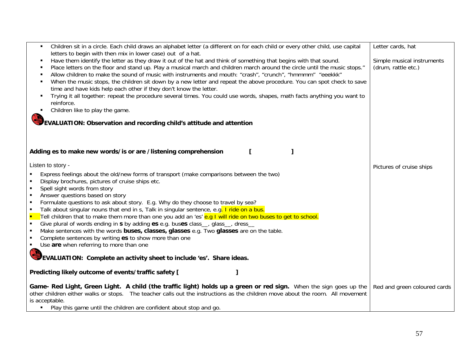| Children sit in a circle. Each child draws an alphabet letter (a different on for each child or every other child, use capital<br>letters to begin with then mix in lower case) out of a hat.                                                                                                                                                                                                                                                                                                                                                                                                                                                                                                                                                                                                                                                                                                                                                                                                     | Letter cards, hat                                 |
|---------------------------------------------------------------------------------------------------------------------------------------------------------------------------------------------------------------------------------------------------------------------------------------------------------------------------------------------------------------------------------------------------------------------------------------------------------------------------------------------------------------------------------------------------------------------------------------------------------------------------------------------------------------------------------------------------------------------------------------------------------------------------------------------------------------------------------------------------------------------------------------------------------------------------------------------------------------------------------------------------|---------------------------------------------------|
| Have them identify the letter as they draw it out of the hat and think of something that begins with that sound.<br>л<br>Place letters on the floor and stand up. Play a musical march and children march around the circle until the music stops."<br>Allow children to make the sound of music with instruments and mouth: "crash", "crunch", "hmmmm" "eeekkk"<br>л<br>When the music stops, the children sit down by a new letter and repeat the above procedure. You can spot check to save<br>time and have kids help each other if they don't know the letter.<br>Trying it all together: repeat the procedure several times. You could use words, shapes, math facts anything you want to<br>reinforce.<br>Children like to play the game.<br>EVALUATION: Observation and recording child's attitude and attention                                                                                                                                                                         | Simple musical instruments<br>(drum, rattle etc.) |
| Adding es to make new words/is or are /listening comprehension<br>L                                                                                                                                                                                                                                                                                                                                                                                                                                                                                                                                                                                                                                                                                                                                                                                                                                                                                                                               |                                                   |
| Listen to story -<br>Express feelings about the old/new forms of transport (make comparisons between the two)<br>Display brochures, pictures of cruise ships etc.<br>Spell sight words from story<br>$\blacksquare$<br>Answer questions based on story<br>$\blacksquare$<br>Formulate questions to ask about story. E.g. Why do they choose to travel by sea?<br>$\blacksquare$<br>Talk about singular nouns that end in s, Talk in singular sentence, e.g. I ride on a bus.<br>$\blacksquare$<br>Tell children that to make them more than one you add an 'es' e.g I will ride on two buses to get to school.<br>Е<br>Give plural of words ending in s by adding es e.g. buses class_, glass_, dress_<br>Make sentences with the words buses, classes, glasses e.g. Two glasses are on the table.<br>Complete sentences by writing es to show more than one<br>Use are when referring to more than one<br>$\blacksquare$<br>EVALUATION: Complete an activity sheet to include 'es'. Share ideas. | Pictures of cruise ships                          |
| Predicting likely outcome of events/traffic safety [<br>1                                                                                                                                                                                                                                                                                                                                                                                                                                                                                                                                                                                                                                                                                                                                                                                                                                                                                                                                         |                                                   |
| Game- Red Light, Green Light. A child (the traffic light) holds up a green or red sign. When the sign goes up the<br>other children either walks or stops. The teacher calls out the instructions as the children move about the room. All movement<br>is acceptable.<br>Play this game until the children are confident about stop and go.<br>$\blacksquare$                                                                                                                                                                                                                                                                                                                                                                                                                                                                                                                                                                                                                                     | Red and green coloured cards                      |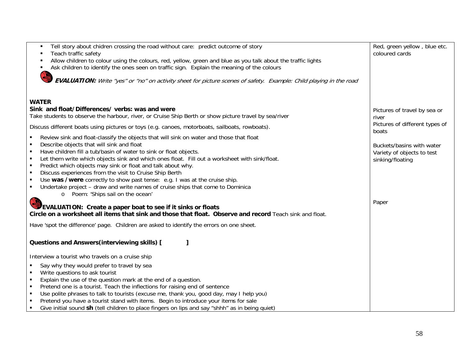| Tell story about chidren crossing the road without care: predict outcome of story<br>٠<br>Teach traffic safety<br>$\blacksquare$<br>Allow children to colour using the colours, red, yellow, green and blue as you talk about the traffic lights<br>Ask children to identify the ones seen on traffic sign. Explain the meaning of the colours<br>EVALUATION: Write "yes" or "no" on activity sheet for picture scenes of safety. Example: Child playing in the road                                                                                                                                                                                                                                                                                                                                                                                                                                                                   | Red, green yellow, blue etc.<br>coloured cards                                       |
|----------------------------------------------------------------------------------------------------------------------------------------------------------------------------------------------------------------------------------------------------------------------------------------------------------------------------------------------------------------------------------------------------------------------------------------------------------------------------------------------------------------------------------------------------------------------------------------------------------------------------------------------------------------------------------------------------------------------------------------------------------------------------------------------------------------------------------------------------------------------------------------------------------------------------------------|--------------------------------------------------------------------------------------|
| <b>WATER</b><br>Sink and float/Differences/ verbs: was and were<br>Take students to observe the harbour, river, or Cruise Ship Berth or show picture travel by sea/river<br>Discuss different boats using pictures or toys (e.g. canoes, motorboats, sailboats, rowboats).                                                                                                                                                                                                                                                                                                                                                                                                                                                                                                                                                                                                                                                             | Pictures of travel by sea or<br>river<br>Pictures of different types of<br>boats     |
| Review sink and float-classify the objects that will sink on water and those that float<br>Describe objects that will sink and float<br>$\blacksquare$<br>Have children fill a tub/basin of water to sink or float objects.<br>$\blacksquare$<br>Let them write which objects sink and which ones float. Fill out a worksheet with sink/float.<br>$\blacksquare$<br>Predict which objects may sink or float and talk about why.<br>$\blacksquare$<br>Discuss experiences from the visit to Cruise Ship Berth<br>$\blacksquare$<br>Use was /were correctly to show past tense: e.g. I was at the cruise ship.<br>$\blacksquare$<br>Undertake project - draw and write names of cruise ships that come to Dominica<br>П<br>o Poem: 'Ships sail on the ocean'<br>EVALUATION: Create a paper boat to see if it sinks or floats<br>Circle on a worksheet all items that sink and those that float. Observe and record Teach sink and float. | Buckets/basins with water<br>Variety of objects to test<br>sinking/floating<br>Paper |
| Have 'spot the difference' page. Children are asked to identify the errors on one sheet.                                                                                                                                                                                                                                                                                                                                                                                                                                                                                                                                                                                                                                                                                                                                                                                                                                               |                                                                                      |
| <b>Questions and Answers (interviewing skills) [</b><br>Interview a tourist who travels on a cruise ship<br>Say why they would prefer to travel by sea<br>Write questions to ask tourist<br>$\blacksquare$<br>Explain the use of the question mark at the end of a question.<br>$\blacksquare$<br>Pretend one is a tourist. Teach the inflections for raising end of sentence<br>$\blacksquare$<br>Use polite phrases to talk to tourists (excuse me, thank you, good day, may I help you)<br>$\blacksquare$<br>Pretend you have a tourist stand with items. Begin to introduce your items for sale<br>Give initial sound sh (tell children to place fingers on lips and say "shhh" as in being quiet)                                                                                                                                                                                                                                 |                                                                                      |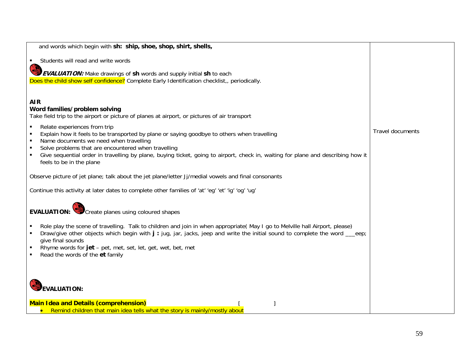| and words which begin with sh: ship, shoe, shop, shirt, shells,                                                                                                                                                             |                         |
|-----------------------------------------------------------------------------------------------------------------------------------------------------------------------------------------------------------------------------|-------------------------|
| Students will read and write words                                                                                                                                                                                          |                         |
| <b>EVALUATION:</b> Make drawings of sh words and supply initial sh to each                                                                                                                                                  |                         |
| Does the child show self confidence? Complete Early Identification checklist, periodically.                                                                                                                                 |                         |
|                                                                                                                                                                                                                             |                         |
| <b>AIR</b>                                                                                                                                                                                                                  |                         |
| Word families/problem solving<br>Take field trip to the airport or picture of planes at airport, or pictures of air transport                                                                                               |                         |
| Relate experiences from trip<br>$\blacksquare$                                                                                                                                                                              |                         |
| Explain how it feels to be transported by plane or saying goodbye to others when travelling<br>$\blacksquare$                                                                                                               | <b>Travel documents</b> |
| Name documents we need when travelling<br>$\blacksquare$                                                                                                                                                                    |                         |
| Solve problems that are encountered when travelling<br>$\blacksquare$<br>Give sequential order in travelling by plane, buying ticket, going to airport, check in, waiting for plane and describing how it<br>$\blacksquare$ |                         |
| feels to be in the plane                                                                                                                                                                                                    |                         |
| Observe picture of jet plane; talk about the jet plane/letter Jj/medial vowels and final consonants                                                                                                                         |                         |
| Continue this activity at later dates to complete other families of 'at' 'eg' 'et' 'ig' 'og' 'ug'                                                                                                                           |                         |
|                                                                                                                                                                                                                             |                         |
| <b>EVALUATION:</b> Create planes using coloured shapes                                                                                                                                                                      |                         |
| Role play the scene of travelling. Talk to children and join in when appropriate(May I go to Melville hall Airport, please)                                                                                                 |                         |
| Draw/give other objects which begin with j: jug, jar, jacks, jeep and write the initial sound to complete the word __eep;                                                                                                   |                         |
| give final sounds<br>Rhyme words for jet - pet, met, set, let, get, wet, bet, met                                                                                                                                           |                         |
| Read the words of the et family                                                                                                                                                                                             |                         |
|                                                                                                                                                                                                                             |                         |
|                                                                                                                                                                                                                             |                         |
| <b>EVALUATION:</b>                                                                                                                                                                                                          |                         |
|                                                                                                                                                                                                                             |                         |
| <b>Main Idea and Details (comprehension)</b><br>Remind children that main idea tells what the story is mainly/mostly about                                                                                                  |                         |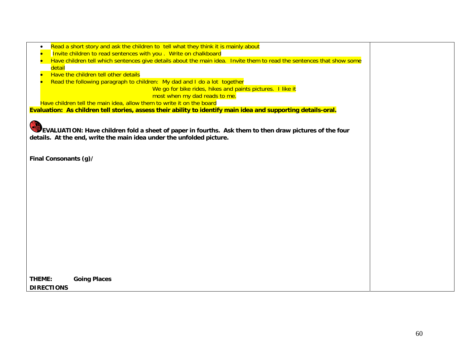| Read a short story and ask the children to tell what they think it is mainly about                                                                                             |  |
|--------------------------------------------------------------------------------------------------------------------------------------------------------------------------------|--|
| Invite children to read sentences with you. Write on chalkboard                                                                                                                |  |
| Have children tell which sentences give details about the main idea. Invite them to read the sentences that show some                                                          |  |
| detail                                                                                                                                                                         |  |
| Have the children tell other details                                                                                                                                           |  |
| Read the following paragraph to children: My dad and I do a lot together                                                                                                       |  |
| We go for bike rides, hikes and paints pictures. I like it                                                                                                                     |  |
| most when my dad reads to me.                                                                                                                                                  |  |
| Have children tell the main idea, allow them to write it on the board                                                                                                          |  |
| Evaluation: As children tell stories, assess their ability to identify main idea and supporting details-oral.                                                                  |  |
| EVALUATION: Have children fold a sheet of paper in fourths. Ask them to then draw pictures of the four<br>details. At the end, write the main idea under the unfolded picture. |  |
| Final Consonants (g)/                                                                                                                                                          |  |
|                                                                                                                                                                                |  |
|                                                                                                                                                                                |  |
|                                                                                                                                                                                |  |
|                                                                                                                                                                                |  |
|                                                                                                                                                                                |  |
|                                                                                                                                                                                |  |
|                                                                                                                                                                                |  |
|                                                                                                                                                                                |  |
|                                                                                                                                                                                |  |
|                                                                                                                                                                                |  |
|                                                                                                                                                                                |  |
|                                                                                                                                                                                |  |
|                                                                                                                                                                                |  |
|                                                                                                                                                                                |  |
|                                                                                                                                                                                |  |
| THEME:<br><b>Going Places</b>                                                                                                                                                  |  |
| <b>DIRECTIONS</b>                                                                                                                                                              |  |
|                                                                                                                                                                                |  |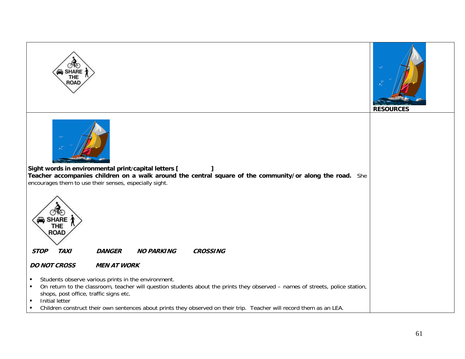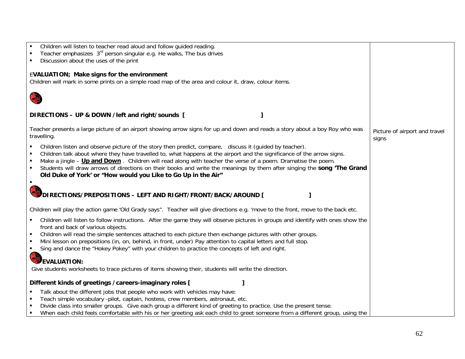| Teacher emphasizes 3 <sup>rd</sup> person singular e.g. He walks, The bus drives<br>Discussion about the uses of the print<br><b>EVALUATION; Make signs for the environment</b><br>Children will mark in some prints on a simple road map of the area and colour it, draw, colour items. |
|------------------------------------------------------------------------------------------------------------------------------------------------------------------------------------------------------------------------------------------------------------------------------------------|
|                                                                                                                                                                                                                                                                                          |
|                                                                                                                                                                                                                                                                                          |
|                                                                                                                                                                                                                                                                                          |
|                                                                                                                                                                                                                                                                                          |
|                                                                                                                                                                                                                                                                                          |
|                                                                                                                                                                                                                                                                                          |
|                                                                                                                                                                                                                                                                                          |
|                                                                                                                                                                                                                                                                                          |
| DIRECTIONS - UP & DOWN / left and right/sounds [                                                                                                                                                                                                                                         |
|                                                                                                                                                                                                                                                                                          |
| Teacher presents a large picture of an airport showing arrow signs for up and down and reads a story about a boy Roy who was<br>Picture of airport and travel                                                                                                                            |
| travelling.<br>signs                                                                                                                                                                                                                                                                     |
| Children listen and observe picture of the story then predict, compare, discuss it (quided by teacher).                                                                                                                                                                                  |
| Children talk about where they have travelled to, what happens at the airport and the significance of the arrow signs.                                                                                                                                                                   |
| Make a jingle – Up and Down. Children will read along with teacher the verse of a poem. Dramatise the poem.                                                                                                                                                                              |
| Students will draw arrows of directions on their books and write the meanings by them after singing the song 'The Grand                                                                                                                                                                  |
| Old Duke of York' or "How would you Like to Go Up in the Air"                                                                                                                                                                                                                            |
| $\blacksquare$                                                                                                                                                                                                                                                                           |
|                                                                                                                                                                                                                                                                                          |
| DIRECTIONS/PREPOSITIONS - LEFT AND RIGHT/FRONT/BACK/AROUND [                                                                                                                                                                                                                             |
|                                                                                                                                                                                                                                                                                          |
| Children will play the action game 'Old Grady says". Teacher will give directions e.g. 'move to the front, move to the back etc.                                                                                                                                                         |
| Children will listen to follow instructions. After the game they will observe pictures in groups and identify with ones show the                                                                                                                                                         |
| front and back of various objects.                                                                                                                                                                                                                                                       |
| Children will read the simple sentences attached to each picture then exchange pictures with other groups.                                                                                                                                                                               |
| Mini lesson on prepositions (in, on, behind, in front, under) Pay attention to capital letters and full stop.                                                                                                                                                                            |
| Sing and dance the "Hokey Pokey" with your children to practice the concepts of left and right.<br>$\blacksquare$                                                                                                                                                                        |
|                                                                                                                                                                                                                                                                                          |
| <b>CE</b><br><b>EVALUATION:</b>                                                                                                                                                                                                                                                          |
| Give students worksheets to trace pictures of items showing their, students will write the direction.                                                                                                                                                                                    |
|                                                                                                                                                                                                                                                                                          |
| Different kinds of greetings / careers-imaginary roles [                                                                                                                                                                                                                                 |
| Talk about the different jobs that people who work with vehicles may have:                                                                                                                                                                                                               |
| Teach simple vocabulary -pilot, captain, hostess, crew members, astronaut, etc.                                                                                                                                                                                                          |
| Divide class into smaller groups. Give each group a different kind of greeting to practice. Use the present tense.                                                                                                                                                                       |
| When each child feels comfortable with his or her greeting ask each child to greet someone from a different group, using the                                                                                                                                                             |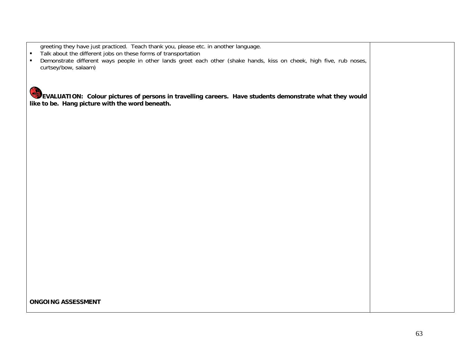greeting they have just practiced. Teach thank you, please etc. in another language.

 $\blacksquare$ Talk about the different jobs on these forms of transportation

 $\blacksquare$  Demonstrate different ways people in other lands greet each other (shake hands, kiss on cheek, high five, rub noses, curtsey/bow, salaam)

**EVALUATION: Colour pictures of persons in travelling careers. Have students demonstrate what they would like to be. Hang picture with the word beneath.**

**ONGOING ASSESSMENT**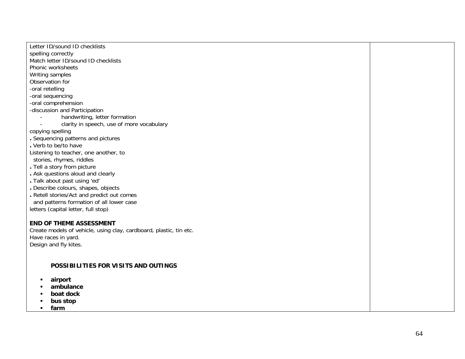Letter ID/sound ID checklists spelling correctly Match letter ID/sound ID checklists Phonic worksheets Writing samples Observation for -oral retelling -oral sequencing -oral comprehension -discussion and Participation handwriting, letter formation clarity in speech, use of more vocabulary copying spelling **.** Sequencing patterns and pictures **.** Verb to be/to have Listening to teacher, one another, to stories, rhymes, riddles **.** Tell a story from picture **.** Ask questions aloud and clearly **.** Talk about past using 'ed' **.** Describe colours, shapes, objects **.** Retell stories/Act and predict out comes and patterns formation of all lower case letters (capital letter, full stop)

## **END OF THEME ASSESSMENT**

Create models of vehicle, using clay, cardboard, plastic, tin etc. Have races in yard. Design and fly kites.

## **POSSIBILITIES FOR VISITS AND OUTINGS**

- $\blacksquare$ **airport**
- $\blacksquare$ **ambulance**
- $\blacksquare$ **boat dock**
- $\blacksquare$ **bus stop**
- $\blacksquare$ **farm**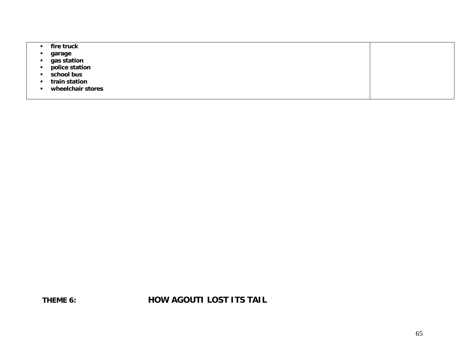| fire truck        |  |
|-------------------|--|
| garage            |  |
| gas station       |  |
| police station    |  |
| school bus        |  |
| train station     |  |
| wheelchair stores |  |
|                   |  |

**THEME 6: NOW AGOUTI LOST ITS TAIL**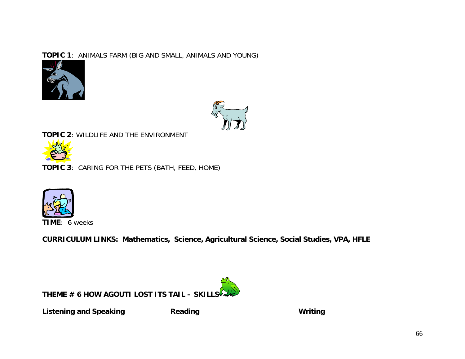# **TOPIC 1**: ANIMALS FARM (BIG AND SMALL, ANIMALS AND YOUNG)





**TOPIC 2**: WILDLIFE AND THE ENVIRONMENT



**TOPIC 3**: CARING FOR THE PETS (BATH, FEED, HOME)



**CURRICULUM LINKS: Mathematics, Science, Agricultural Science, Social Studies, VPA, HFLE** 

**THEME # 6 HOW AGOUTI LOST ITS TAIL – SKILLS**

Listening and Speaking **Reading Writing Communist Communist Communist Communist Communist Communist Communist Communist Communist Communist Communist Communist Communist Communist Communist Communist Communist Communist Co**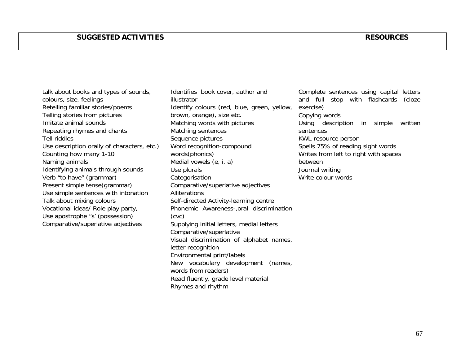talk about books and types of sounds, colours, size, feelings Retelling familiar stories/poems Telling stories from pictures Imitate animal sounds Repeating rhymes and chants Tell riddles Use description orally of characters, etc.) Counting how many 1-10 Naming animals Identifying animals through sounds Verb "to have" (grammar) Present simple tense(grammar) Use simple sentences with intonation Talk about mixing colours Vocational ideas/ Role play party, Use apostrophe "s' (possession) Comparative/superlative adjectives

Identifies book cover, author and illustrator Identify colours (red, blue, green, yellow, brown, orange), size etc. Matching words with pictures Matching sentences Sequence pictures Word recognition-compound words(phonics) Medial vowels (e, i, a) Use plurals **Categorisation** Comparative/superlative adjectives **Alliterations** Self-directed Activity-learning centre Phonemic Awareness-,oral discrimination (cvc) Supplying initial letters, medial letters Comparative/superlative Visual discrimination of alphabet names, letter recognition Environmental print/labels New vocabulary development (names, words from readers) Read fluently, grade level material Rhymes and rhythm

Complete sentences using capital letters and full stop with flashcards (cloze exercise) Copying words Using description in simple written sentences KWL-resource person Spells 75% of reading sight words Writes from left to right with spaces between Journal writing Write colour words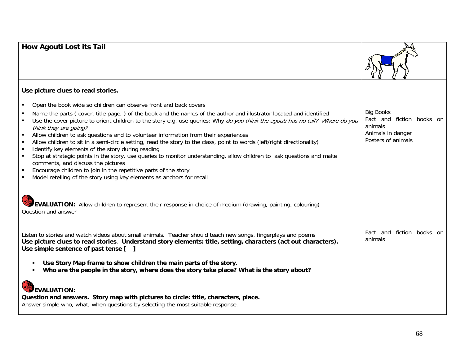# **How Agouti Lost its Tail**



Fact and fiction books on

Big Books

animals

Animals in danger Posters of animals

# **Use picture clues to read stories.**

- $\blacksquare$ Open the book wide so children can observe front and back covers
- $\blacksquare$  Name the parts ( cover, title page, ) of the book and the names of the author and illustrator located and identified  $\blacksquare$ Use the cover picture to orient children to the story e.g. use queries; Why do you think the agouti has no tail? Where do you
- think they are going?
- $\blacksquare$ Allow children to ask questions and to volunteer information from their experiences
- $\blacksquare$ Allow children to sit in a semi-circle setting, read the story to the class, point to words (left/right directionality)
- $\blacksquare$ Identify key elements of the story during reading
- $\blacksquare$  Stop at strategic points in the story, use queries to monitor understanding, allow children to ask questions and make comments, and discuss the pictures
- $\blacksquare$ Encourage children to join in the repetitive parts of the story
- П Model retelling of the story using key elements as anchors for recall

**EVALUATION:** Allow children to represent their response in choice of medium (drawing, painting, colouring) Question and answer

Listen to stories and watch videos about small animals. Teacher should teach new songs, fingerplays and poems **Use picture clues to read stories**. **Understand story elements: title, setting, characters (act out characters). Use simple sentence of past tense [ ]**  Fact and fiction books on animals

- П **Use Story Map frame to show children the main parts of the story.**
- $\mathbf{u}$  . **Who are the people in the story, where does the story take place? What is the story about?**

# **EVALUATION:**

**Question and answers. Story map with pictures to circle: title, characters, place.** Answer simple who, what, when questions by selecting the most suitable response.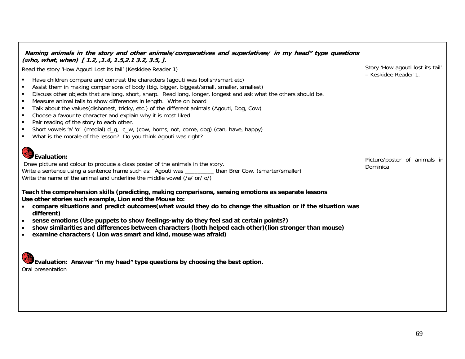| Naming animals in the story and other animals/comparatives and superlatives/ in my head" type questions<br>(who, what, when) [1.2, , 1.4, 1.5, 2.1 3.2, 3.5, ].<br>Read the story 'How Agouti Lost its tail' (Keskidee Reader 1)<br>Have children compare and contrast the characters (agouti was foolish/smart etc)<br>Assist them in making comparisons of body (big, bigger, biggest/small, smaller, smallest)<br>Discuss other objects that are long, short, sharp. Read long, longer, longest and ask what the others should be.<br>$\blacksquare$<br>Measure animal tails to show differences in length. Write on board<br>$\blacksquare$<br>$\blacksquare$<br>Talk about the values(dishonest, tricky, etc.) of the different animals (Agouti, Dog, Cow)<br>Choose a favourite character and explain why it is most liked<br>$\blacksquare$<br>Pair reading of the story to each other.<br>$\mathbf{r}$<br>Short vowels 'a' 'o' (medial) d_g, c_w, (cow, horns, not, come, dog) (can, have, happy)<br>$\blacksquare$<br>• What is the morale of the lesson? Do you think Agouti was right? | Story 'How agouti lost its tail'.<br>- Keskidee Reader 1. |
|---------------------------------------------------------------------------------------------------------------------------------------------------------------------------------------------------------------------------------------------------------------------------------------------------------------------------------------------------------------------------------------------------------------------------------------------------------------------------------------------------------------------------------------------------------------------------------------------------------------------------------------------------------------------------------------------------------------------------------------------------------------------------------------------------------------------------------------------------------------------------------------------------------------------------------------------------------------------------------------------------------------------------------------------------------------------------------------------------|-----------------------------------------------------------|
| Evaluation:<br>Draw picture and colour to produce a class poster of the animals in the story.<br>Write a sentence using a sentence frame such as: Agouti was _________ than Brer Cow. (smarter/smaller)<br>Write the name of the animal and underline the middle vowel (/a/ or/ o/)<br>Teach the comprehension skills (predicting, making comparisons, sensing emotions as separate lessons<br>Use other stories such example, Lion and the Mouse to:<br>compare situations and predict outcomes (what would they do to change the situation or if the situation was<br>$\bullet$<br>different)<br>sense emotions (Use puppets to show feelings-why do they feel sad at certain points?)<br>$\bullet$<br>show similarities and differences between characters (both helped each other) (lion stronger than mouse)<br>examine characters (Lion was smart and kind, mouse was afraid)<br>$\bullet$<br>Evaluation: Answer "in my head" type questions by choosing the best option.                                                                                                                   | Picture/poster of animals in<br>Dominica                  |
| Oral presentation                                                                                                                                                                                                                                                                                                                                                                                                                                                                                                                                                                                                                                                                                                                                                                                                                                                                                                                                                                                                                                                                                 |                                                           |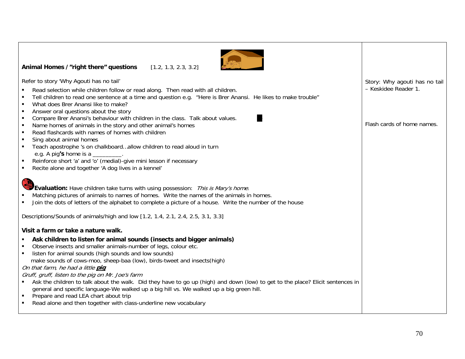

## **Animal Homes /"right there" questions** [1.2, 1.3, 2.3, 3.2]

Refer to story 'Why Agouti has no tail'

- П Read selection while children follow or read along. Then read with all children.
- $\blacksquare$ Tell children to read one sentence at a time and question e.g. "Here is Brer Anansi. He likes to make trouble"
- $\blacksquare$ What does Brer Anansi like to make?
- П Answer oral questions about the story
- $\blacksquare$ Compare Brer Anansi's behaviour with children in the class. Talk about values.
- $\blacksquare$ Name homes of animals in the story and other animal's homes
- $\blacksquare$ Read flashcards with names of homes with children
- $\blacksquare$ Sing about animal homes
- $\blacksquare$  Teach apostrophe 's on chalkboard…allow children to read aloud in turn e.g. A pig**'s** home is a \_\_\_\_\_\_\_\_\_.
- Reinforce short 'a' and 'o' (medial)-give mini lesson if necessary
- $\blacksquare$ Recite alone and together 'A dog lives in a kennel'



**Evaluation:** Have children take turns with using possession: This is Mary's home.

- $\blacksquare$ Matching pictures of animals to names of homes. Write the names of the animals in homes.
- п Join the dots of letters of the alphabet to complete a picture of a house. Write the number of the house

Descriptions/Sounds of animals/high and low [1.2, 1.4, 2.1, 2.4, 2.5, 3.1, 3.3]

## **Visit a farm or take a nature walk.**

- П **Ask children to listen for animal sounds (insects and bigger animals)**
- Observe insects and smaller animals-number of legs, colour etc.
- **I** listen for animal sounds (high sounds and low sounds) make sounds of cows-moo, sheep-baa (low), birds-tweet and insects(high)

# On that farm, he had a little **pig**

Gruff, gruff, listen to the pig on Mr. Joe's farm

- Ask the children to talk about the walk. Did they have to go up (high) and down (low) to get to the place? Elicit sentences in general and specific language-We walked up a big hill vs. We walked up a big green hill.
- $\blacksquare$ Prepare and read LEA chart about trip
- $\blacksquare$ Read alone and then together with class-underline new vocabulary

Story: Why agouti has no tail – Keskidee Reader 1.

Flash cards of home names.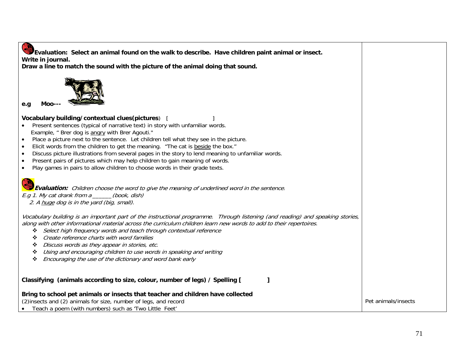| Evaluation: Select an animal found on the walk to describe. Have children paint animal or insect.<br>Write in journal.<br>Draw a line to match the sound with the picture of the animal doing that sound.                                                                                                                                                                                                                                                                                                                                                                                                                                                                                                          |                     |
|--------------------------------------------------------------------------------------------------------------------------------------------------------------------------------------------------------------------------------------------------------------------------------------------------------------------------------------------------------------------------------------------------------------------------------------------------------------------------------------------------------------------------------------------------------------------------------------------------------------------------------------------------------------------------------------------------------------------|---------------------|
| Moo<br>e.q                                                                                                                                                                                                                                                                                                                                                                                                                                                                                                                                                                                                                                                                                                         |                     |
| Vocabulary building/contextual clues(pictures)  <br>Present sentences (typical of narrative text) in story with unfamiliar words.<br>$\bullet$<br>Example, " Brer dog is angry with Brer Agouti."<br>Place a picture next to the sentence. Let children tell what they see in the picture.<br>$\bullet$<br>Elicit words from the children to get the meaning. "The cat is beside the box."<br>$\bullet$<br>Discuss picture illustrations from several pages in the story to lend meaning to unfamiliar words.<br>$\bullet$<br>Present pairs of pictures which may help children to gain meaning of words.<br>$\bullet$<br>Play games in pairs to allow children to choose words in their grade texts.<br>$\bullet$ |                     |
| <b>Evaluation:</b> Children choose the word to give the meaning of underlined word in the sentence.<br>E.g 1. My cat drank from $a_{\_\_\_\_}(book, dish)$<br>2. A huge dog is in the yard (big, small).                                                                                                                                                                                                                                                                                                                                                                                                                                                                                                           |                     |
| Vocabulary building is an important part of the instructional programme. Through listening (and reading) and speaking stories,<br>along with other informational material across the curriculum children learn new words to add to their repertoires.<br>Select high frequency words and teach through contextual reference<br>❖<br>Create reference charts with word families<br>❖<br>Discuss words as they appear in stories, etc.<br>❖<br>Using and encouraging children to use words in speaking and writing<br>❖<br>Encouraging the use of the dictionary and word bank early<br>❖                                                                                                                            |                     |
| Classifying (animals according to size, colour, number of legs) / Spelling [<br>ı                                                                                                                                                                                                                                                                                                                                                                                                                                                                                                                                                                                                                                  |                     |
| Bring to school pet animals or insects that teacher and children have collected<br>(2) insects and (2) animals for size, number of legs, and record                                                                                                                                                                                                                                                                                                                                                                                                                                                                                                                                                                | Pet animals/insects |

• Teach a poem (with numbers) such as 'Two Little Feet'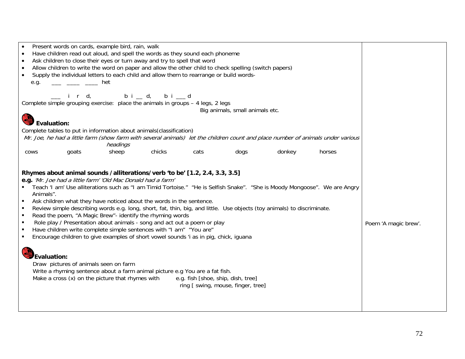| Present words on cards, example bird, rain, walk<br>Have children read out aloud, and spell the words as they sound each phoneme<br>Ask children to close their eyes or turn away and try to spell that word<br>$\bullet$<br>Allow children to write the word on paper and allow the other child to check spelling (switch papers)<br>$\bullet$<br>Supply the individual letters to each child and allow them to rearrange or build words-<br>$\bullet$<br>het<br>e.g.                                                                                                                                                                                                                                                                                                                                                                                                       |                      |
|------------------------------------------------------------------------------------------------------------------------------------------------------------------------------------------------------------------------------------------------------------------------------------------------------------------------------------------------------------------------------------------------------------------------------------------------------------------------------------------------------------------------------------------------------------------------------------------------------------------------------------------------------------------------------------------------------------------------------------------------------------------------------------------------------------------------------------------------------------------------------|----------------------|
| _ ird, bi_d, bi_d<br>Complete simple grouping exercise: place the animals in groups - 4 legs, 2 legs                                                                                                                                                                                                                                                                                                                                                                                                                                                                                                                                                                                                                                                                                                                                                                         |                      |
| Big animals, small animals etc.                                                                                                                                                                                                                                                                                                                                                                                                                                                                                                                                                                                                                                                                                                                                                                                                                                              |                      |
| <b>Evaluation:</b>                                                                                                                                                                                                                                                                                                                                                                                                                                                                                                                                                                                                                                                                                                                                                                                                                                                           |                      |
| Complete tables to put in information about animals(classification)<br>Mr. Joe, he had a little farm (show farm with several animals) let the children count and place number of animals under various<br>headings                                                                                                                                                                                                                                                                                                                                                                                                                                                                                                                                                                                                                                                           |                      |
| chicks<br>dogs<br>donkey<br>goats<br>sheep<br>cats<br>horses<br><b>COWS</b>                                                                                                                                                                                                                                                                                                                                                                                                                                                                                                                                                                                                                                                                                                                                                                                                  |                      |
| Rhymes about animal sounds /alliterations/verb 'to be' [1.2, 2.4, 3.3, 3.5]<br>e.g. 'Mr. Joe had a little farm' 'Old Mac Donald had a farm'<br>Teach 'I am' Use alliterations such as "I am Timid Tortoise." "He is Selfish Snake". "She is Moody Mongoose". We are Angry<br>Animals".<br>Ask children what they have noticed about the words in the sentence.<br>Review simple describing words e.g. long, short, fat, thin, big, and little. Use objects (toy animals) to discriminate.<br>Read the poem, "A Magic Brew"- identify the rhyming words<br>Role play / Presentation about animals - song and act out a poem or play<br>Have children write complete simple sentences with "I am" "You are"<br>Encourage children to give examples of short vowel sounds 'i as in pig, chick, iguana<br>$\blacksquare$<br>Evaluation:<br>Draw pictures of animals seen on farm | Poem 'A magic brew'. |
| Write a rhyming sentence about a farm animal picture e.g You are a fat fish.<br>Make a cross (x) on the picture that rhymes with<br>e.g. fish [shoe, ship, dish, tree]<br>ring [ swing, mouse, finger, tree]                                                                                                                                                                                                                                                                                                                                                                                                                                                                                                                                                                                                                                                                 |                      |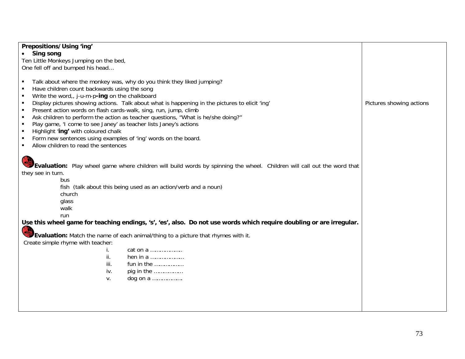| Prepositions/Using 'ing'                                                                                                                                                                                                                                                                                                                                                                                                                                                                                                                                                                                                                                                                                                                                                   |                          |
|----------------------------------------------------------------------------------------------------------------------------------------------------------------------------------------------------------------------------------------------------------------------------------------------------------------------------------------------------------------------------------------------------------------------------------------------------------------------------------------------------------------------------------------------------------------------------------------------------------------------------------------------------------------------------------------------------------------------------------------------------------------------------|--------------------------|
| • Sing song                                                                                                                                                                                                                                                                                                                                                                                                                                                                                                                                                                                                                                                                                                                                                                |                          |
| Ten Little Monkeys Jumping on the bed,                                                                                                                                                                                                                                                                                                                                                                                                                                                                                                                                                                                                                                                                                                                                     |                          |
| One fell off and bumped his head                                                                                                                                                                                                                                                                                                                                                                                                                                                                                                                                                                                                                                                                                                                                           |                          |
| Talk about where the monkey was, why do you think they liked jumping?<br>$\blacksquare$<br>Have children count backwards using the song<br>Write the word, $j$ -u-m-p-ing on the chalkboard<br>п<br>Display pictures showing actions. Talk about what is happening in the pictures to elicit 'ing'<br>$\blacksquare$<br>Present action words on flash cards-walk, sing, run, jump, climb<br>$\blacksquare$<br>Ask children to perform the action as teacher questions, "What is he/she doing?"<br>$\blacksquare$<br>Play game, 'I come to see Janey' as teacher lists Janey's actions<br>$\blacksquare$<br>Highlight 'ing' with coloured chalk<br>$\blacksquare$<br>Form new sentences using examples of 'ing' words on the board.<br>Allow children to read the sentences | Pictures showing actions |
| Evaluation: Play wheel game where children will build words by spinning the wheel. Children will call out the word that<br>they see in turn.<br>bus<br>fish (talk about this being used as an action/verb and a noun)<br>church<br>glass<br>walk<br>run<br>Use this wheel game for teaching endings, 's', 'es', also. Do not use words which require doubling or are irregular.<br><b>PAS</b><br>Evaluation: Match the name of each animal/thing to a picture that rhymes with it.<br>Create simple rhyme with teacher:<br>cat on a $\ldots$<br>İ.<br>ii.<br>hen in a<br>iii.<br>fun in the<br>iv.<br>pig in the<br>dog on a<br>V.                                                                                                                                         |                          |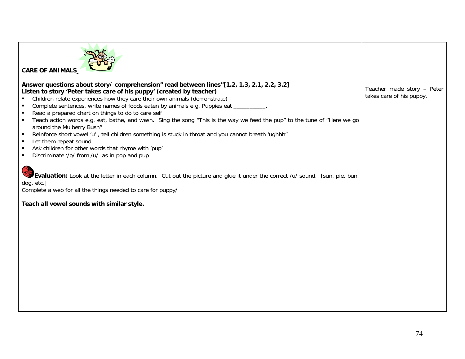| <b>CARE OF ANIMALS</b>                                                                                                                                                                                                                                                                                                                                                                                                                                                                                                                                                                                                                                                                                                                                                                                                                                                                                                                                        |                                                        |
|---------------------------------------------------------------------------------------------------------------------------------------------------------------------------------------------------------------------------------------------------------------------------------------------------------------------------------------------------------------------------------------------------------------------------------------------------------------------------------------------------------------------------------------------------------------------------------------------------------------------------------------------------------------------------------------------------------------------------------------------------------------------------------------------------------------------------------------------------------------------------------------------------------------------------------------------------------------|--------------------------------------------------------|
| Answer questions about story/comprehension" read between lines"[1.2, 1.3, 2.1, 2.2, 3.2]<br>Listen to story 'Peter takes care of his puppy' (created by teacher)<br>Children relate experiences how they care their own animals (demonstrate)<br>Complete sentences, write names of foods eaten by animals e.g. Puppies eat _________<br>Read a prepared chart on things to do to care self<br>Teach action words e.g. eat, bathe, and wash. Sing the song "This is the way we feed the pup" to the tune of "Here we go<br>$\blacksquare$<br>around the Mulberry Bush"<br>Reinforce short vowel 'u', tell children something is stuck in throat and you cannot breath 'ughhh"<br>$\blacksquare$<br>Let them repeat sound<br>Ask children for other words that rhyme with 'pup'<br>Discriminate '/o/ from /u/ as in pop and pup<br>Evaluation: Look at the letter in each column. Cut out the picture and glue it under the correct /u/ sound. [sun, pie, bun, | Teacher made story - Peter<br>takes care of his puppy. |
| dog, etc.]<br>Complete a web for all the things needed to care for puppy/<br>Teach all vowel sounds with similar style.                                                                                                                                                                                                                                                                                                                                                                                                                                                                                                                                                                                                                                                                                                                                                                                                                                       |                                                        |
|                                                                                                                                                                                                                                                                                                                                                                                                                                                                                                                                                                                                                                                                                                                                                                                                                                                                                                                                                               |                                                        |
|                                                                                                                                                                                                                                                                                                                                                                                                                                                                                                                                                                                                                                                                                                                                                                                                                                                                                                                                                               |                                                        |
|                                                                                                                                                                                                                                                                                                                                                                                                                                                                                                                                                                                                                                                                                                                                                                                                                                                                                                                                                               |                                                        |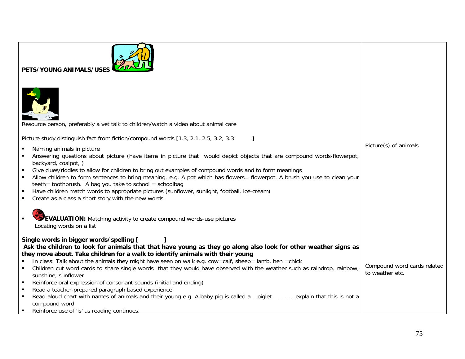| PETS/YOUNG ANIMALS/USE                                                                                                                                     |                             |
|------------------------------------------------------------------------------------------------------------------------------------------------------------|-----------------------------|
| Resource person, preferably a vet talk to children/watch a video about animal care                                                                         |                             |
| Picture study distinguish fact from fiction/compound words [1.3, 2.1, 2.5, 3.2, 3.3                                                                        |                             |
| Naming animals in picture                                                                                                                                  | Picture(s) of animals       |
| Answering questions about picture (have items in picture that would depict objects that are compound words-flowerpot,                                      |                             |
| backyard, coalpot, )<br>Give clues/riddles to allow for children to bring out examples of compound words and to form meanings                              |                             |
| Allow children to form sentences to bring meaning, e.g. A pot which has flowers= flowerpot. A brush you use to clean your                                  |                             |
| teeth= toothbrush. A bag you take to school = schoolbag                                                                                                    |                             |
| Have children match words to appropriate pictures (sunflower, sunlight, football, ice-cream)<br>Create as a class a short story with the new words.        |                             |
|                                                                                                                                                            |                             |
| <b>EVALUATION:</b> Matching activity to create compound words-use pictures                                                                                 |                             |
| Locating words on a list                                                                                                                                   |                             |
|                                                                                                                                                            |                             |
| Single words in bigger words/spelling [<br>Ask the children to look for animals that that have young as they go along also look for other weather signs as |                             |
| they move about. Take children for a walk to identify animals with their young                                                                             |                             |
| In class: Talk about the animals they might have seen on walk e.g. cow=calf, sheep= lamb, hen =chick                                                       | Compound word cards related |
| Children cut word cards to share single words that they would have observed with the weather such as raindrop, rainbow,<br>sunshine, sunflower             | to weather etc.             |
| Reinforce oral expression of consonant sounds (initial and ending)                                                                                         |                             |
| Read a teacher-prepared paragraph based experience<br>$\blacksquare$                                                                                       |                             |
|                                                                                                                                                            |                             |
| compound word                                                                                                                                              |                             |
| Reinforce use of 'is' as reading continues.                                                                                                                |                             |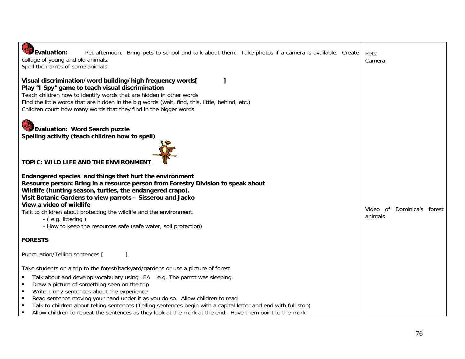| <b>RESERVE</b><br><b>S</b> Evaluation:<br>Pet afternoon. Bring pets to school and talk about them. Take photos if a camera is available. Create<br>collage of young and old animals.<br>Spell the names of some animals                                                                                                                                                                                                                                                                                                                                                                                                                     | Pets<br>Camera                        |
|---------------------------------------------------------------------------------------------------------------------------------------------------------------------------------------------------------------------------------------------------------------------------------------------------------------------------------------------------------------------------------------------------------------------------------------------------------------------------------------------------------------------------------------------------------------------------------------------------------------------------------------------|---------------------------------------|
| Visual discrimination/word building/high frequency words[<br>Play "I Spy" game to teach visual discrimination<br>Teach children how to identify words that are hidden in other words<br>Find the little words that are hidden in the big words (wait, find, this, little, behind, etc.)<br>Children count how many words that they find in the bigger words.                                                                                                                                                                                                                                                                                |                                       |
| <b>Evaluation: Word Search puzzle</b><br>Spelling activity (teach children how to spell)<br>TOPIC: WILD LIFE AND THE ENVIRONMENT                                                                                                                                                                                                                                                                                                                                                                                                                                                                                                            |                                       |
| Endangered species and things that hurt the environment<br>Resource person: Bring in a resource person from Forestry Division to speak about<br>Wildlife (hunting season, turtles, the endangered crapo).<br>Visit Botanic Gardens to view parrots - Sisserou and Jacko<br>View a video of wildlife<br>Talk to children about protecting the wildlife and the environment.<br>- (e.g. littering)<br>- How to keep the resources safe (safe water, soil protection)                                                                                                                                                                          | Video of Dominica's forest<br>animals |
| <b>FORESTS</b>                                                                                                                                                                                                                                                                                                                                                                                                                                                                                                                                                                                                                              |                                       |
| Punctuation/Telling sentences [                                                                                                                                                                                                                                                                                                                                                                                                                                                                                                                                                                                                             |                                       |
| Take students on a trip to the forest/backyard/gardens or use a picture of forest<br>Talk about and develop vocabulary using LEA e.g. The parrot was sleeping.<br>٠<br>Draw a picture of something seen on the trip<br>$\blacksquare$<br>Write 1 or 2 sentences about the experience<br>$\blacksquare$<br>Read sentence moving your hand under it as you do so. Allow children to read<br>$\blacksquare$<br>Talk to children about telling sentences (Telling sentences begin with a capital letter and end with full stop)<br>٠<br>Allow children to repeat the sentences as they look at the mark at the end. Have them point to the mark |                                       |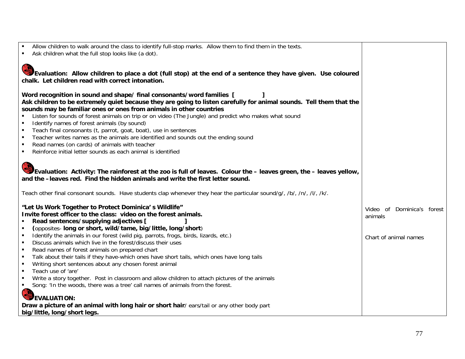| Allow children to walk around the class to identify full-stop marks. Allow them to find them in the texts.<br>Ask children what the full stop looks like (a dot).                                                                                                   |                            |  |
|---------------------------------------------------------------------------------------------------------------------------------------------------------------------------------------------------------------------------------------------------------------------|----------------------------|--|
| Evaluation: Allow children to place a dot (full stop) at the end of a sentence they have given. Use coloured                                                                                                                                                        |                            |  |
| chalk. Let children read with correct intonation.                                                                                                                                                                                                                   |                            |  |
| Word recognition in sound and shape/ final consonants/word families [<br>Ask children to be extremely quiet because they are going to listen carefully for animal sounds. Tell them that the<br>sounds may be familiar ones or ones from animals in other countries |                            |  |
| Listen for sounds of forest animals on trip or on video (The Jungle) and predict who makes what sound<br>Identify names of forest animals (by sound)                                                                                                                |                            |  |
| Teach final consonants (t, parrot, goat, boat), use in sentences<br>٠                                                                                                                                                                                               |                            |  |
| Teacher writes names as the animals are identified and sounds out the ending sound<br>٠                                                                                                                                                                             |                            |  |
| Read names (on cards) of animals with teacher<br>٠                                                                                                                                                                                                                  |                            |  |
| Reinforce initial letter sounds as each animal is identified<br>$\blacksquare$                                                                                                                                                                                      |                            |  |
| Evaluation: Activity: The rainforest at the zoo is full of leaves. Colour the – leaves green, the – leaves yellow,<br>and the -leaves red. Find the hidden animals and write the first letter sound.                                                                |                            |  |
| Teach other final consonant sounds. Have students clap whenever they hear the particular sound/g/, /b/, /n/, /l/, /k/.                                                                                                                                              |                            |  |
| "Let Us Work Together to Protect Dominica's Wildlife"                                                                                                                                                                                                               | Video of Dominica's forest |  |
| Invite forest officer to the class: video on the forest animals.                                                                                                                                                                                                    | animals                    |  |
| Read sentences/supplying adjectives [<br>(opposites- long or short, wild/tame, big/little, long/short)<br>$\blacksquare$                                                                                                                                            |                            |  |
| Identify the animals in our forest (wild pig, parrots, frogs, birds, lizards, etc.)<br>٠                                                                                                                                                                            | Chart of animal names      |  |
| Discuss animals which live in the forest/discuss their uses<br>٠                                                                                                                                                                                                    |                            |  |
| Read names of forest animals on prepared chart<br>$\blacksquare$                                                                                                                                                                                                    |                            |  |
| Talk about their tails if they have-which ones have short tails, which ones have long tails<br>٠<br>Writing short sentences about any chosen forest animal<br>٠                                                                                                     |                            |  |
| Teach use of 'are'<br>$\blacksquare$                                                                                                                                                                                                                                |                            |  |
| Write a story together. Post in classroom and allow children to attach pictures of the animals<br>٠                                                                                                                                                                 |                            |  |
| Song: 'In the woods, there was a tree' call names of animals from the forest.<br>$\blacksquare$                                                                                                                                                                     |                            |  |
| <b>EVALUATION:</b>                                                                                                                                                                                                                                                  |                            |  |
| Draw a picture of an animal with long hair or short hair/ ears/tail or any other body part                                                                                                                                                                          |                            |  |
| big/little, long/short legs.                                                                                                                                                                                                                                        |                            |  |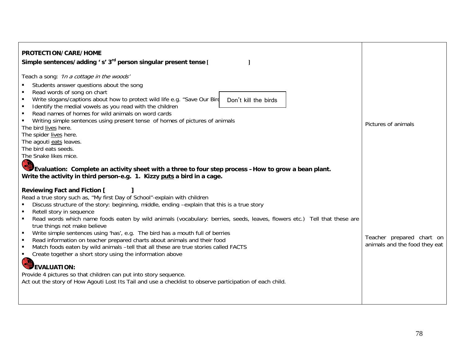| PROTECTION/CARE/HOME<br>Simple sentences/adding 's' 3 <sup>rd</sup> person singular present tense [                                                                                                                                                                                                                                                                                                                                                                                                                                                                                                                                                                                                                                                                                                                                                                                                                                                                |                                                            |
|--------------------------------------------------------------------------------------------------------------------------------------------------------------------------------------------------------------------------------------------------------------------------------------------------------------------------------------------------------------------------------------------------------------------------------------------------------------------------------------------------------------------------------------------------------------------------------------------------------------------------------------------------------------------------------------------------------------------------------------------------------------------------------------------------------------------------------------------------------------------------------------------------------------------------------------------------------------------|------------------------------------------------------------|
| Teach a song: 'In a cottage in the woods'<br>Students answer questions about the song<br>Read words of song on chart<br>Write slogans/captions about how to protect wild life e.g. "Save Our Bird<br>Don't kill the birds<br>Identify the medial vowels as you read with the children<br>٠<br>Read names of homes for wild animals on word cards<br>$\blacksquare$<br>Writing simple sentences using present tense of homes of pictures of animals<br>The bird lives here.<br>The spider lives here.<br>The agouti eats leaves.<br>The bird eats seeds.<br>The Snake likes mice.<br><b>POS</b><br>Evaluation: Complete an activity sheet with a three to four step process -How to grow a bean plant.<br>Write the activity in third person-e.g. 1. Kizzy puts a bird in a cage.                                                                                                                                                                                   | Pictures of animals                                        |
| <b>Reviewing Fact and Fiction [</b><br>Read a true story such as, "My first Day of School"-explain with children<br>Discuss structure of the story: beginning, middle, ending -explain that this is a true story<br>Retell story in sequence<br>Read words which name foods eaten by wild animals (vocabulary: berries, seeds, leaves, flowers etc.) Tell that these are<br>true things not make believe<br>Write simple sentences using 'has', e.g. The bird has a mouth full of berries<br>$\blacksquare$<br>Read information on teacher prepared charts about animals and their food<br>٠<br>Match foods eaten by wild animals -tell that all these are true stories called FACTS<br>٠<br>Create together a short story using the information above<br>٠<br><b>EVALUATION:</b><br>Provide 4 pictures so that children can put into story sequence.<br>Act out the story of How Agouti Lost Its Tail and use a checklist to observe participation of each child. | Teacher prepared chart on<br>animals and the food they eat |